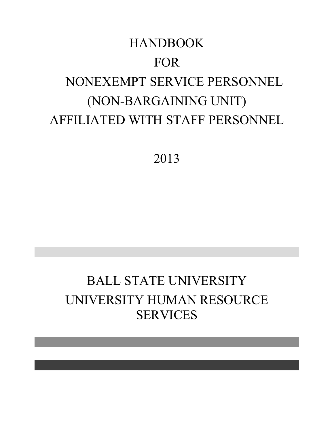# HANDBOOK FOR NONEXEMPT SERVICE PERSONNEL (NON-BARGAINING UNIT) AFFILIATED WITH STAFF PERSONNEL

2013

# BALL STATE UNIVERSITY UNIVERSITY HUMAN RESOURCE SERVICES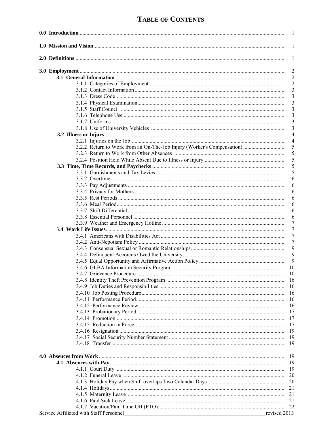# **TABLE OF CONTENTS**

|                                                                                                                                    | 1              |
|------------------------------------------------------------------------------------------------------------------------------------|----------------|
|                                                                                                                                    | 1              |
|                                                                                                                                    | 1              |
|                                                                                                                                    | $\overline{2}$ |
|                                                                                                                                    | $\overline{c}$ |
|                                                                                                                                    | $\overline{c}$ |
|                                                                                                                                    | 3              |
|                                                                                                                                    | 3              |
|                                                                                                                                    | 3              |
|                                                                                                                                    | 3              |
|                                                                                                                                    | 3              |
|                                                                                                                                    | 3              |
|                                                                                                                                    | 3              |
|                                                                                                                                    | $\overline{4}$ |
|                                                                                                                                    | 4              |
| 3.2.2 Return to Work from an On-The-Job Injury (Worker's Compensation)                                                             | 5              |
|                                                                                                                                    | 5              |
|                                                                                                                                    | 5              |
|                                                                                                                                    | 5              |
|                                                                                                                                    | 5              |
|                                                                                                                                    | 6              |
|                                                                                                                                    | 6              |
|                                                                                                                                    | 6              |
|                                                                                                                                    | 6              |
|                                                                                                                                    | 6              |
|                                                                                                                                    | 6              |
|                                                                                                                                    | 6              |
|                                                                                                                                    | 7              |
|                                                                                                                                    | 7              |
|                                                                                                                                    | 7              |
|                                                                                                                                    | $\tau$         |
|                                                                                                                                    | 9              |
|                                                                                                                                    | $\overline{9}$ |
|                                                                                                                                    | 9              |
|                                                                                                                                    |                |
|                                                                                                                                    |                |
|                                                                                                                                    |                |
|                                                                                                                                    |                |
|                                                                                                                                    |                |
|                                                                                                                                    |                |
|                                                                                                                                    |                |
|                                                                                                                                    | 17             |
|                                                                                                                                    | 17             |
|                                                                                                                                    |                |
|                                                                                                                                    | 19             |
|                                                                                                                                    | 19             |
|                                                                                                                                    | -19            |
|                                                                                                                                    |                |
|                                                                                                                                    |                |
|                                                                                                                                    |                |
|                                                                                                                                    |                |
|                                                                                                                                    |                |
|                                                                                                                                    |                |
|                                                                                                                                    |                |
|                                                                                                                                    |                |
|                                                                                                                                    |                |
|                                                                                                                                    |                |
| Service Affiliated with Staff Personnel<br>revised 2013<br><u> 1980 - Johann Barn, fransk politik amerikansk politik (d. 1980)</u> |                |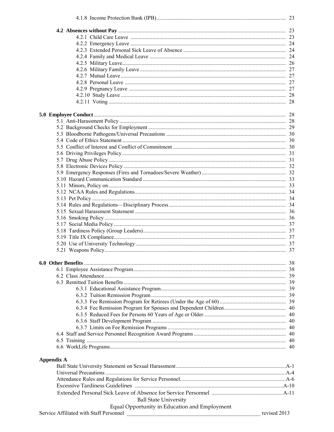| <b>Appendix A</b>                             |              |
|-----------------------------------------------|--------------|
|                                               |              |
|                                               |              |
|                                               |              |
|                                               |              |
|                                               |              |
| <b>Ball State University</b>                  |              |
|                                               |              |
| Equal Opportunity in Education and Employment | revised 2013 |
| Service Affiliated with Staff Personnel       |              |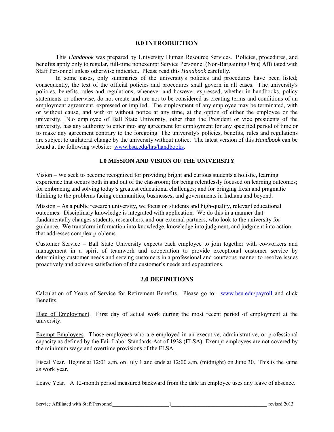#### **0.0 INTRODUCTION**

This *Handbook* was prepared by University Human Resource Services. Policies, procedures, and benefits apply only to regular, full-time nonexempt Service Personnel (Non-Bargaining Unit) Affiliated with Staff Personnel unless otherwise indicated. Please read this *Handbook* carefully.

In some cases, only summaries of the university's policies and procedures have been listed; consequently, the text of the official policies and procedures shall govern in all cases. T he university's policies, benefits, rules and regulations, whenever and however expressed, whether in handbooks, policy statements or otherwise, do not create and are not to be considered as creating terms and conditions of an employment agreement, expressed or implied. The employment of any employee may be terminated, with or without cause, and with or without notice at any time, at the option of either the employee or the university. N o employee of Ball State University, other than the President or vice presidents of the university, has any authority to enter into any agreement for employment for any specified period of time or to make any agreement contrary to the foregoing. The university's policies, benefits, rules and regulations are subject to unilateral change by the university without notice. The latest version of this *Handbook* can be found at the following website: [www.bsu.edu/hrs/handbooks.](http://www.bsu.edu/hrs/handbooks)

#### **1.0 MISSION AND VISION OF THE UNIVERSITY**

Vision – We seek to become recognized for providing bright and curious students a holistic, learning experience that occurs both in and out of the classroom; for being relentlessly focused on learning outcomes; for embracing and solving today's greatest educational challenges; and for bringing fresh and pragmatic thinking to the problems facing communities, businesses, and governments in Indiana and beyond.

Mission – As a public research university, we focus on students and high-quality, relevant educational outcomes. Disciplinary knowledge is integrated with application. We do this in a manner that fundamentally changes students, researchers, and our external partners, who look to the university for guidance. We transform information into knowledge, knowledge into judgment, and judgment into action that addresses complex problems.

Customer Service – Ball State University expects each employee to join together with co-workers and management in a spirit of teamwork and cooperation to provide exceptional customer service by determining customer needs and serving customers in a professional and courteous manner to resolve issues proactively and achieve satisfaction of the customer's needs and expectations.

#### **2.0 DEFINITIONS**

Calculation of Years of Service for Retirement Benefits. Please go to: [www.bsu.edu/payroll](http://www.bsu.edu/payroll) and click Benefits.

Date of Employment. F irst day of actual work during the most recent period of employment at the university.

Exempt Employees. Those employees who are employed in an executive, administrative, or professional capacity as defined by the Fair Labor Standards Act of 1938 (FLSA). Exempt employees are not covered by the minimum wage and overtime provisions of the FLSA.

Fiscal Year. Begins at 12:01 a.m. on July 1 and ends at 12:00 a.m. (midnight) on June 30. This is the same as work year.

Leave Year. A 12-month period measured backward from the date an employee uses any leave of absence.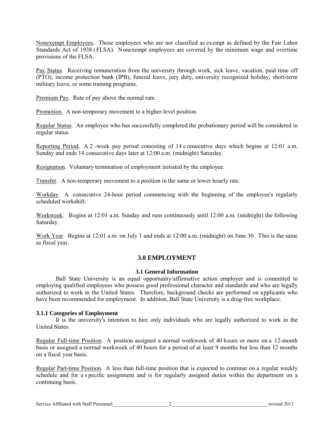Nonexempt Employees. Those employees who are not classified as exempt as defined by the Fair Labor Standards Act of 1938 (FLSA). Nonexempt employees are covered by the minimum wage and overtime provisions of the FLSA.

Pay Status. Receiving remuneration from the university through work, sick leave, vacation, paid time off (PTO), income protection bank (IPB), funeral leave, jury duty, university recognized holiday, short-term military leave, or some training programs.

Premium Pay. Rate of pay above the normal rate.

Promotion. A non-temporary movement to a higher-level position.

Regular Status. An employee who has successfully completed the probationary period will be considered in regular status.

Reporting Period. A 2 -week pay period consisting of 14 c onsecutive days which begins at 12:01 a.m. Sunday and ends 14 consecutive days later at 12:00 a.m. (midnight) Saturday.

Resignation. Voluntary termination of employment initiated by the employee.

Transfer. A non-temporary movement to a position in the same or lower hourly rate.

Workday. A consecutive 24-hour period commencing with the beginning of the employee's regularly scheduled workshift.

Workweek. Begins at 12:01 a.m. Sunday and runs continuously until 12:00 a.m. (midnight) the following Saturday.

Work Year. Begins at 12:01 a.m. on July 1 and ends at 12:00 a.m. (midnight) on June 30. This is the same as fiscal year.

# **3.0 EMPLOYMENT**

#### **3.1 General Information**

Ball State University is an equal opportunity/affirmative action employer and is committed to employing qualified employees who possess good professional character and standards and who are legally authorized to work in the United States. Therefore, background checks are performed on applicants who have been recommended for employment. In addition, Ball State University is a drug-free workplace.

# **3.1.1 Categories of Employment**

It is the university's intention to hire only individuals who are legally authorized to work in the United States.

Regular Full-time Position. A position assigned a normal workweek of 40 hours or more on a 12-month basis or assigned a normal workweek of 40 hours for a period of at least 9 months but less than 12 months on a fiscal year basis.

Regular Part-time Position. A less than full-time position that is expected to continue on a regular weekly schedule and for a s pecific assignment and is for regularly assigned duties within the department on a continuing basis.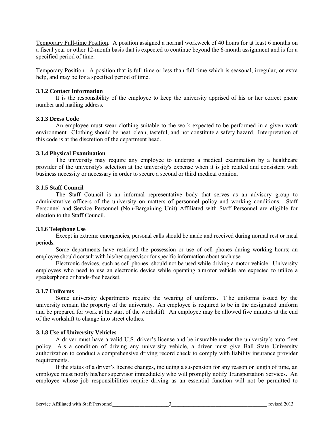Temporary Full-time Position. A position assigned a normal workweek of 40 hours for at least 6 months on a fiscal year or other 12-month basis that is expected to continue beyond the 6-month assignment and is for a specified period of time.

Temporary Position. A position that is full time or less than full time which is seasonal, irregular, or extra help, and may be for a specified period of time.

#### **3.1.2 Contact Information**

It is the responsibility of the employee to keep the university apprised of his or her correct phone number and mailing address.

#### **3.1.3 Dress Code**

An employee must wear clothing suitable to the work expected to be performed in a given work environment. Clothing should be neat, clean, tasteful, and not constitute a safety hazard. Interpretation of this code is at the discretion of the department head.

#### **3.1.4 Physical Examination**

The university may require any employee to undergo a medical examination by a healthcare provider of the university's selection at the university's expense when it is job related and consistent with business necessity or necessary in order to secure a second or third medical opinion.

#### **3.1.5 Staff Council**

The Staff Council is an informal representative body that serves as an advisory group to administrative officers of the university on matters of personnel policy and working conditions. Staff Personnel and Service Personnel (Non-Bargaining Unit) Affiliated with Staff Personnel are eligible for election to the Staff Council.

#### **3.1.6 Telephone Use**

Except in extreme emergencies, personal calls should be made and received during normal rest or meal periods.

Some departments have restricted the possession or use of cell phones during working hours; an employee should consult with his/her supervisor for specific information about such use.

Electronic devices, such as cell phones, should not be used while driving a motor vehicle. University employees who need to use an electronic device while operating a m otor vehicle are expected to utilize a speakerphone or hands-free headset.

#### **3.1.7 Uniforms**

Some university departments require the wearing of uniforms. T he uniforms issued by the university remain the property of the university. An employee is required to be in the designated uniform and be prepared for work at the start of the workshift. An employee may be allowed five minutes at the end of the workshift to change into street clothes.

#### **3.1.8 Use of University Vehicles**

 A driver must have a valid U.S. driver's license and be insurable under the university's auto fleet policy. A s a condition of driving any university vehicle, a driver must give Ball State University authorization to conduct a comprehensive driving record check to comply with liability insurance provider requirements.

If the status of a driver's license changes, including a suspension for any reason or length of time, an employee must notify his/her supervisor immediately who will promptly notify Transportation Services. An employee whose job responsibilities require driving as an essential function will not be permitted to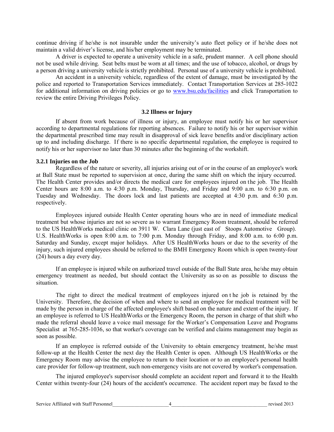continue driving if he/she is not insurable under the university's auto fleet policy or if he/she does not maintain a valid driver's license, and his/her employment may be terminated.

A driver is expected to operate a university vehicle in a safe, prudent manner. A cell phone should not be used while driving. Seat belts must be worn at all times; and the use of tobacco, alcohol, or drugs by a person driving a university vehicle is strictly prohibited. Personal use of a university vehicle is prohibited.

An accident in a university vehicle, regardless of the extent of damage, must be investigated by the police and reported to Transportation Services immediately. Contact Transportation Services at 285-1022 for additional information on driving policies or go to [www.bsu.edu/facilities](http://www.bsu.edu/facilities) and click Transportation to review the entire Driving Privileges Policy.

#### **3.2 Illness or Injury**

If absent from work because of illness or injury, an employee must notify his or her supervisor according to departmental regulations for reporting absences. Failure to notify his or her supervisor within the departmental prescribed time may result in disapproval of sick leave benefits and/or disciplinary action up to and including discharge. If there is no specific departmental regulation, the employee is required to notify his or her supervisor no later than 30 minutes after the beginning of the workshift.

#### **3.2.1 Injuries on the Job**

Regardless of the nature or severity, all injuries arising out of or in the course of an employee's work at Ball State must be reported to supervision at once, during the same shift on which the injury occurred. The Health Center provides and/or directs the medical care for employees injured on the job. The Health Center hours are 8:00 a.m. to 4:30 p.m. Monday, Thursday, and Friday and 9:00 a.m. to 6:30 p.m. on Tuesday and Wednesday. The doors lock and last patients are accepted at 4:30 p.m. and 6:30 p.m. respectively.

Employees injured outside Health Center operating hours who are in need of immediate medical treatment but whose injuries are not so severe as to warrant Emergency Room treatment, should be referred to the US HealthWorks medical clinic on 3911 W. Clara Lane (just east of Stoops Automotive Group). U.S. HealthWorks is open 8:00 a.m. to 7:00 p.m. Monday through Friday, and 8:00 a.m. to 6:00 p.m. Saturday and Sunday, except major holidays. After US HealthWorks hours or due to the severity of the injury, such injured employees should be referred to the BMH Emergency Room which is open twenty-four (24) hours a day every day.

If an employee is injured while on authorized travel outside of the Ball State area, he/she may obtain emergency treatment as needed, but should contact the University as so on as possible to discuss the situation.

The right to direct the medical treatment of employees injured on t he job is retained by the University. Therefore, the decision of when and where to send an employee for medical treatment will be made by the person in charge of the affected employee's shift based on the nature and extent of the injury. If an employee is referred to US HealthWorks or the Emergency Room, the person in charge of that shift who made the referral should leave a voice mail message for the Worker's Compensation Leave and Programs Specialist at 765-285-1036, so that worker's coverage can be verified and claims management may begin as soon as possible.

If an employee is referred outside of the University to obtain emergency treatment, he/she must follow-up at the Health Center the next day the Health Center is open. Although US HealthWorks or the Emergency Room may advise the employee to return to their location or to an employee's personal health care provider for follow-up treatment, such non-emergency visits are not covered by worker's compensation.

The injured employee's supervisor should complete an accident report and forward it to the Health Center within twenty-four (24) hours of the accident's occurrence. The accident report may be faxed to the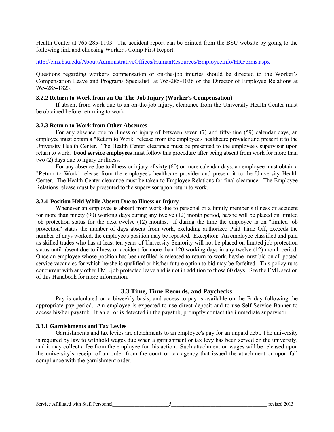Health Center at 765-285-1103. The accident report can be printed from the BSU website by going to the following link and choosing Worker's Comp First Report:

#### <http://cms.bsu.edu/About/AdministrativeOffices/HumanResources/EmployeeInfo/HRForms.aspx>

Questions regarding worker's compensation or on-the-job injuries should be directed to the Worker's Compensation Leave and Programs Specialist at 765-285-1036 or the Director of Employee Relations at 765-285-1823.

#### **3.2.2 Return to Work from an On-The-Job Injury (Worker's Compensation)**

If absent from work due to an on-the-job injury, clearance from the University Health Center must be obtained before returning to work.

#### **3.2.3 Return to Work from Other Absences**

For any absence due to illness or injury of between seven (7) and fifty-nine (59) calendar days, an employee must obtain a "Return to Work" release from the employee's healthcare provider and present it to the University Health Center. The Health Center clearance must be presented to the employee's supervisor upon return to work. **Food service employees** must follow this procedure after being absent from work for more than two (2) days due to injury or illness.

For any absence due to illness or injury of sixty (60) or more calendar days, an employee must obtain a "Return to Work" release from the employee's healthcare provider and present it to the University Health Center. The Health Center clearance must be taken to Employee Relations for final clearance. The Employee Relations release must be presented to the supervisor upon return to work.

#### **3.2.4 Position Held While Absent Due to Illness or Injury**

Whenever an employee is absent from work due to personal or a family member's illness or accident for more than ninety (90) working days during any twelve (12) month period, he/she will be placed on limited job protection status for the next twelve (12) months. If during the time the employee is on "limited job protection" status the number of days absent from work, excluding authorized Paid Time Off, exceeds the number of days worked, the employee's position may be reposted. Exception: An employee classified and paid as skilled trades who has at least ten years of University Seniority will not be placed on limited job protection status until absent due to illness or accident for more than 120 working days in any twelve (12) month period. Once an employee whose position has been refilled is released to return to work, he/she must bid on all posted service vacancies for which he/she is qualified or his/her future option to bid may be forfeited. This policy runs concurrent with any other FML job protected leave and is not in addition to those 60 days. See the FML section of this Handbook for more information.

#### **3.3 Time, Time Records, and Paychecks**

Pay is calculated on a biweekly basis, and access to pay is available on the Friday following the appropriate pay period. An employee is expected to use direct deposit and to use Self-Service Banner to access his/her paystub. If an error is detected in the paystub, promptly contact the immediate supervisor.

#### **3.3.1 Garnishments and Tax Levies**

Garnishments and tax levies are attachments to an employee's pay for an unpaid debt. The university is required by law to withhold wages due when a garnishment or tax levy has been served on the university, and it may collect a fee from the employee for this action. Such attachment on wages will be released upon the university's receipt of an order from the court or tax agency that issued the attachment or upon full compliance with the garnishment order.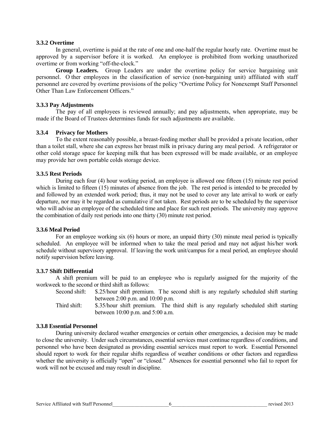#### **3.3.2 Overtime**

In general, overtime is paid at the rate of one and one-half the regular hourly rate. Overtime must be approved by a supervisor before it is worked. An employee is prohibited from working unauthorized overtime or from working "off-the-clock."

**Group Leaders.** Group Leaders are under the overtime policy for service bargaining unit personnel. O ther employees in the classification of service (non-bargaining unit) affiliated with staff personnel are covered by overtime provisions of the policy "Overtime Policy for Nonexempt Staff Personnel Other Than Law Enforcement Officers."

#### **3.3.3 Pay Adjustments**

The pay of all employees is reviewed annually; and pay adjustments, when appropriate, may be made if the Board of Trustees determines funds for such adjustments are available.

#### **3.3.4 Privacy for Mothers**

To the extent reasonably possible, a breast-feeding mother shall be provided a private location, other than a toilet stall, where she can express her breast milk in privacy during any meal period. A refrigerator or other cold storage space for keeping milk that has been expressed will be made available, or an employee may provide her own portable colds storage device.

#### **3.3.5 Rest Periods**

During each four (4) hour working period, an employee is allowed one fifteen (15) minute rest period which is limited to fifteen (15) minutes of absence from the job. The rest period is intended to be preceded by and followed by an extended work period; thus, it may not be used to cover any late arrival to work or early departure, nor may it be regarded as cumulative if not taken. Rest periods are to be scheduled by the supervisor who will advise an employee of the scheduled time and place for such rest periods. The university may approve the combination of daily rest periods into one thirty (30) minute rest period.

#### **3.3.6 Meal Period**

For an employee working six (6) hours or more, an unpaid thirty (30) minute meal period is typically scheduled. An employee will be informed when to take the meal period and may not adjust his/her work schedule without supervisory approval. If leaving the work unit/campus for a meal period, an employee should notify supervision before leaving.

#### **3.3.7 Shift Differential**

A shift premium will be paid to an employee who is regularly assigned for the majority of the workweek to the second or third shift as follows:

Second shift: \$.25/hour shift premium. The second shift is any regularly scheduled shift starting between 2:00 p.m. and 10:00 p.m.

Third shift: \$.35/hour shift premium. The third shift is any regularly scheduled shift starting between 10:00 p.m. and 5:00 a.m.

#### **3.3.8 Essential Personnel**

During university declared weather emergencies or certain other emergencies, a decision may be made to close the university. Under such circumstances, essential services must continue regardless of conditions, and personnel who have been designated as providing essential services must report to work. Essential Personnel should report to work for their regular shifts regardless of weather conditions or other factors and regardless whether the university is officially "open" or "closed." Absences for essential personnel who fail to report for work will not be excused and may result in discipline.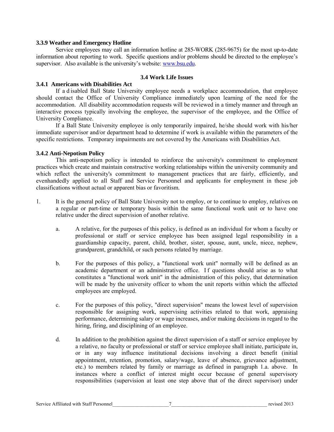#### **3.3.9 Weather and Emergency Hotline**

Service employees may call an information hotline at 285-WORK (285-9675) for the most up-to-date information about reporting to work. Specific questions and/or problems should be directed to the employee's supervisor. Also available is the university's website: [www.bsu.edu.](http://www.bsu.edu/)

#### **3.4 Work Life Issues**

#### **3.4.1 Americans with Disabilities Act**

If a d isabled Ball State University employee needs a workplace accommodation, that employee should contact the Office of University Compliance immediately upon learning of the need for the accommodation. All disability accommodation requests will be reviewed in a timely manner and through an interactive process typically involving the employee, the supervisor of the employee, and the Office of University Compliance.

If a Ball State University employee is only temporarily impaired, he/she should work with his/her immediate supervisor and/or department head to determine if work is available within the parameters of the specific restrictions. Temporary impairments are not covered by the Americans with Disabilities Act.

#### **3.4.2 Anti-Nepotism Policy**

This anti-nepotism policy is intended to reinforce the university's commitment to employment practices which create and maintain constructive working relationships within the university community and which reflect the university's commitment to management practices that are fairly, efficiently, and evenhandedly applied to all Staff and Service Personnel and applicants for employment in these job classifications without actual or apparent bias or favoritism.

- 1. It is the general policy of Ball State University not to employ, or to continue to employ, relatives on a regular or part-time or temporary basis within the same functional work unit or to have one relative under the direct supervision of another relative.
	- a. A relative, for the purposes of this policy, is defined as an individual for whom a faculty or professional or staff or service employee has been assigned legal responsibility in a guardianship capacity, parent, child, brother, sister, spouse, aunt, uncle, niece, nephew, grandparent, grandchild, or such persons related by marriage.
	- b. For the purposes of this policy, a "functional work unit" normally will be defined as an academic department or an administrative office. If questions should arise as to what constitutes a "functional work unit" in the administration of this policy, that determination will be made by the university officer to whom the unit reports within which the affected employees are employed.
	- c. For the purposes of this policy, "direct supervision" means the lowest level of supervision responsible for assigning work, supervising activities related to that work, appraising performance, determining salary or wage increases, and/or making decisions in regard to the hiring, firing, and disciplining of an employee.
	- d. In addition to the prohibition against the direct supervision of a staff or service employee by a relative, no faculty or professional or staff or service employee shall initiate, participate in, or in any way influence institutional decisions involving a direct benefit (initial appointment, retention, promotion, salary/wage, leave of absence, grievance adjustment, etc.) to members related by family or marriage as defined in paragraph 1.a. above. In instances where a conflict of interest might occur because of general supervisory responsibilities (supervision at least one step above that of the direct supervisor) under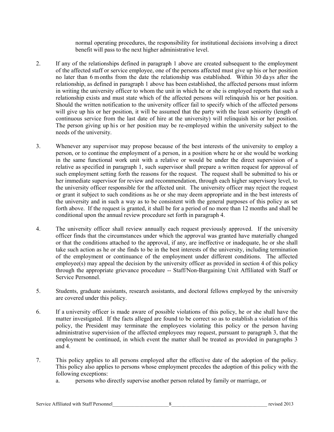normal operating procedures, the responsibility for institutional decisions involving a direct benefit will pass to the next higher administrative level.

- 2. If any of the relationships defined in paragraph 1 above are created subsequent to the employment of the affected staff or service employee, one of the persons affected must give up his or her position no later than 6 months from the date the relationship was established. Within 30 da ys after the relationship, as defined in paragraph 1 above has been established, the affected persons must inform in writing the university officer to whom the unit in which he or she is employed reports that such a relationship exists and must state which of the affected persons will relinquish his or her position. Should the written notification to the university officer fail to specify which of the affected persons will give up his or her position, it will be assumed that the party with the least seniority (length of continuous service from the last date of hire at the university) will relinquish his or her position. The person giving up his or her position may be re-employed within the university subject to the needs of the university.
- 3. Whenever any supervisor may propose because of the best interests of the university to employ a person, or to continue the employment of a person, in a position where he or she would be working in the same functional work unit with a relative or would be under the direct supervision of a relative as specified in paragraph 1, such supervisor shall prepare a written request for approval of such employment setting forth the reasons for the request. The request shall be submitted to his or her immediate supervisor for review and recommendation, through each higher supervisory level, to the university officer responsible for the affected unit. The university officer may reject the request or grant it subject to such conditions as he or she may deem appropriate and in the best interests of the university and in such a way as to be consistent with the general purposes of this policy as set forth above. If the request is granted, it shall be for a period of no more than 12 months and shall be conditional upon the annual review procedure set forth in paragraph 4.
- 4. The university officer shall review annually each request previously approved. If the university officer finds that the circumstances under which the approval was granted have materially changed or that the conditions attached to the approval, if any, are ineffective or inadequate, he or she shall take such action as he or she finds to be in the best interests of the university, including termination of the employment or continuance of the employment under different conditions. The affected  $emነove(s)$  may appeal the decision by the university officer as provided in section 4 of this policy through the appropriate grievance procedure -- Staff/Non-Bargaining Unit Affiliated with Staff or Service Personnel.
- 5. Students, graduate assistants, research assistants, and doctoral fellows employed by the university are covered under this policy.
- 6. If a university officer is made aware of possible violations of this policy, he or she shall have the matter investigated. If the facts alleged are found to be correct so as to establish a violation of this policy, the President may terminate the employees violating this policy or the person having administrative supervision of the affected employees may request, pursuant to paragraph 3, that the employment be continued, in which event the matter shall be treated as provided in paragraphs 3 and 4.
- 7. This policy applies to all persons employed after the effective date of the adoption of the policy. This policy also applies to persons whose employment precedes the adoption of this policy with the following exceptions:
	- a. persons who directly supervise another person related by family or marriage, or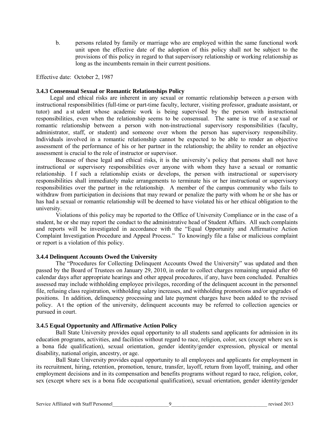b. persons related by family or marriage who are employed within the same functional work unit upon the effective date of the adoption of this policy shall not be subject to the provisions of this policy in regard to that supervisory relationship or working relationship as long as the incumbents remain in their current positions.

Effective date: October 2, 1987

#### **3.4.3 Consensual Sexual or Romantic Relationships Policy**

Legal and ethical risks are inherent in any sexual or romantic relationship between a p erson with instructional responsibilities (full-time or part-time faculty, lecturer, visiting professor, graduate assistant, or tutor) and a st udent whose academic work is being supervised by the person with instructional responsibilities, even when the relationship seems to be consensual. The same is true of a se xual or romantic relationship between a person with non-instructional supervisory responsibilities (faculty, administrator, staff, or student) and someone over whom the person has supervisory responsibility. Individuals involved in a romantic relationship cannot be expected to be able to render an objective assessment of the performance of his or her partner in the relationship; the ability to render an objective assessment is crucial to the role of instructor or supervisor.

Because of these legal and ethical risks, it is the university's policy that persons shall not have instructional or supervisory responsibilities over anyone with whom they have a sexual or romantic relationship. I f such a relationship exists or develops, the person with instructional or supervisory responsibilities shall immediately make arrangements to terminate his or her instructional or supervisory responsibilities over the partner in the relationship. A member of the campus community who fails to withdraw from participation in decisions that may reward or penalize the party with whom he or she has or has had a sexual or romantic relationship will be deemed to have violated his or her ethical obligation to the university.

Violations of this policy may be reported to the Office of University Compliance or in the case of a student, he or she may report the conduct to the administrative head of Student Affairs. All such complaints and reports will be investigated in accordance with the "Equal Opportunity and Affirmative Action Complaint Investigation Procedure and Appeal Process." To knowingly file a false or malicious complaint or report is a violation of this policy.

#### **3.4.4 Delinquent Accounts Owed the University**

The "Procedures for Collecting Delinquent Accounts Owed the University" was updated and then passed by the Board of Trustees on January 29, 2010, in order to collect charges remaining unpaid after 60 calendar days after appropriate hearings and other appeal procedures, if any, have been concluded. Penalties assessed may include withholding employee privileges, recording of the delinquent account in the personnel file, refusing class registration, withholding salary increases, and withholding promotions and/or upgrades of positions. In addition, delinquency processing and late payment charges have been added to the revised policy. A t the option of the university, delinquent accounts may be referred to collection agencies or pursued in court.

#### **3.4.5 Equal Opportunity and Affirmative Action Policy**

Ball State University provides equal opportunity to all students sand applicants for admission in its education programs, activities, and facilities without regard to race, religion, color, sex (except where sex is a bona fide qualification), sexual orientation, gender identity/gender expression, physical or mental disability, national origin, ancestry, or age.

Ball State University provides equal opportunity to all employees and applicants for employment in its recruitment, hiring, retention, promotion, tenure, transfer, layoff, return from layoff, training, and other employment decisions and in its compensation and benefits programs without regard to race, religion, color, sex (except where sex is a bona fide occupational qualification), sexual orientation, gender identity/gender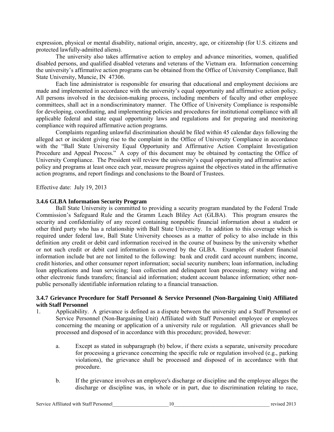expression, physical or mental disability, national origin, ancestry, age, or citizenship (for U.S. citizens and protected lawfully-admitted aliens).

The university also takes affirmative action to employ and advance minorities, women, qualified disabled persons, and qualified disabled veterans and veterans of the Vietnam era. Information concerning the university's affirmative action programs can be obtained from the Office of University Compliance, Ball State University, Muncie, IN 47306.

Each line administrator is responsible for ensuring that educational and employment decisions are made and implemented in accordance with the university's equal opportunity and affirmative action policy. All persons involved in the decision-making process, including members of faculty and other employee committees, shall act in a nondiscriminatory manner. The Office of University Compliance is responsible for developing, coordinating, and implementing policies and procedures for institutional compliance with all applicable federal and state equal opportunity laws and regulations and for preparing and monitoring compliance with required affirmative action programs.

Complaints regarding unlawful discrimination should be filed within 45 calendar days following the alleged act or incident giving rise to the complaint in the Office of University Compliance in accordance with the "Ball State University Equal Opportunity and Affirmative Action Complaint Investigation Procedure and Appeal Process." A copy of this document may be obtained by contacting the Office of University Compliance. The President will review the university's equal opportunity and affirmative action policy and programs at least once each year, measure progress against the objectives stated in the affirmative action programs, and report findings and conclusions to the Board of Trustees.

Effective date: July 19, 2013

#### **3.4.6 GLBA Information Security Program**

Ball State University is committed to providing a security program mandated by the Federal Trade Commission's Safeguard Rule and the Gramm Leach Bliley Act (GLBA). This program ensures the security and confidentiality of any record containing nonpublic financial information about a student or other third party who has a relationship with Ball State University. In addition to this coverage which is required under federal law, Ball State University chooses as a matter of policy to also include in this definition any credit or debit card information received in the course of business by the university whether or not such credit or debit card information is covered by the GLBA. Examples of student financial information include but are not limited to the following: bank and credit card account numbers; income, credit histories, and other consumer report information; social security numbers; loan information, including loan applications and loan servicing; loan collection and delinquent loan processing; money wiring and other electronic funds transfers; financial aid information; student account balance information; other nonpublic personally identifiable information relating to a financial transaction.

#### **3.4.7 Grievance Procedure for Staff Personnel & Service Personnel (Non-Bargaining Unit) Affiliated with Staff Personnel**

- 1. Applicability. A grievance is defined as a dispute between the university and a Staff Personnel or Service Personnel (Non-Bargaining Unit) Affiliated with Staff Personnel employee or employees concerning the meaning or application of a university rule or regulation. All grievances shall be processed and disposed of in accordance with this procedure; provided, however:
	- a. Except as stated in subparagraph (b) below, if there exists a separate, university procedure for processing a grievance concerning the specific rule or regulation involved (e.g., parking violations), the grievance shall be processed and disposed of in accordance with that procedure.
	- b. If the grievance involves an employee's discharge or discipline and the employee alleges the discharge or discipline was, in whole or in part, due to discrimination relating to race,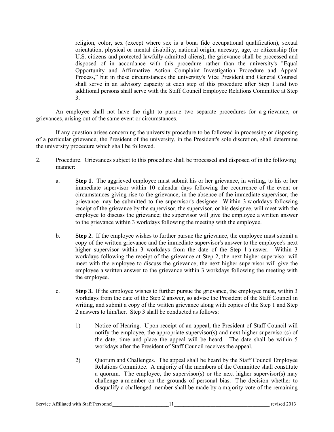religion, color, sex (except where sex is a bona fide occupational qualification), sexual orientation, physical or mental disability, national origin, ancestry, age, or citizenship (for U.S. citizens and protected lawfully-admitted aliens), the grievance shall be processed and disposed of in accordance with this procedure rather than the university's "Equal Opportunity and Affirmative Action Complaint Investigation Procedure and Appeal Process," but in these circumstances the university's Vice President and General Counsel shall serve in an advisory capacity at each step of this procedure after Step 1 a nd two additional persons shall serve with the Staff Council Employee Relations Committee at Step 3.

An employee shall not have the right to pursue two separate procedures for a g rievance, or grievances, arising out of the same event or circumstances.

If any question arises concerning the university procedure to be followed in processing or disposing of a particular grievance, the President of the university, in the President's sole discretion, shall determine the university procedure which shall be followed.

- 2. Procedure. Grievances subject to this procedure shall be processed and disposed of in the following manner:
	- a. **Step 1.** The aggrieved employee must submit his or her grievance, in writing, to his or her immediate supervisor within 10 calendar days following the occurrence of the event or circumstances giving rise to the grievance; in the absence of the immediate supervisor, the grievance may be submitted to the supervisor's designee. W ithin 3 w orkdays following receipt of the grievance by the supervisor, the supervisor, or his designee, will meet with the employee to discuss the grievance; the supervisor will give the employee a written answer to the grievance within 3 workdays following the meeting with the employee.
	- b. **Step 2.** If the employee wishes to further pursue the grievance, the employee must submit a copy of the written grievance and the immediate supervisor's answer to the employee's next higher supervisor within 3 workdays from the date of the Step 1 a nswer. Within 3 workdays following the receipt of the grievance at Step 2, the next higher supervisor will meet with the employee to discuss the grievance; the next higher supervisor will give the employee a written answer to the grievance within 3 workdays following the meeting with the employee.
	- c. **Step 3.** If the employee wishes to further pursue the grievance, the employee must, within 3 workdays from the date of the Step 2 answer, so advise the President of the Staff Council in writing, and submit a copy of the written grievance along with copies of the Step 1 and Step 2 answers to him/her. Step 3 shall be conducted as follows:
		- 1) Notice of Hearing. Upon receipt of an appeal, the President of Staff Council will notify the employee, the appropriate supervisor(s) and next higher supervisor(s) of the date, time and place the appeal will be heard. The date shall be within 5 workdays after the President of Staff Council receives the appeal.
		- 2) Quorum and Challenges. The appeal shall be heard by the Staff Council Employee Relations Committee. A majority of the members of the Committee shall constitute a quorum. The employee, the supervisor(s) or the next higher supervisor(s) may challenge a m ember on the grounds of personal bias. T he decision whether to disqualify a challenged member shall be made by a majority vote of the remaining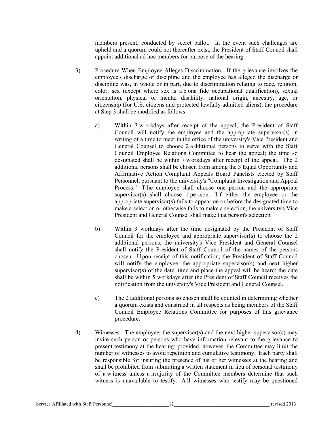members present, conducted by secret ballot. In the event such challenges are upheld and a quorum could not thereafter exist, the President of Staff Council shall appoint additional ad hoc members for purpose of the hearing.

- 3) Procedure When Employee Alleges Discrimination. If the grievance involves the employee's discharge or discipline and the employee has alleged the discharge or discipline was, in whole or in part, due to discrimination relating to race, religion, color, sex (except where sex is a b ona fide occupational qualification), sexual orientation, physical or mental disability, national origin, ancestry, age, or citizenship (for U.S. citizens and protected lawfully-admitted aliens), the procedure at Step 3 shall be modified as follows:
	- a) Within 3 w orkdays after receipt of the appeal, the President of Staff Council will notify the employee and the appropriate supervisor(s) in writing of a time to meet in the office of the university's Vice President and General Counsel to choose 2 a dditional persons to serve with the Staff Council Employee Relations Committee to hear the appeal; the time so designated shall be within 7 w orkdays after receipt of the appeal. The 2 additional persons shall be chosen from among the 3 Equal Opportunity and Affirmative Action Complaint Appeals Board Panelists elected by Staff Personnel, pursuant to the university's "Complaint Investigation and Appeal Process." T he employee shall choose one person and the appropriate supervisor(s) shall choose 1 pe rson. I f either the employee or the appropriate supervisor(s) fails to appear on or before the designated time to make a selection or otherwise fails to make a selection, the university's Vice President and General Counsel shall make that person's selection.
	- b) Within 3 workdays after the time designated by the President of Staff Council for the employee and appropriate supervisor(s) to choose the 2 additional persons, the university's Vice President and General Counsel shall notify the President of Staff Council of the names of the persons chosen. U pon receipt of this notification, the President of Staff Council will notify the employee, the appropriate supervisor(s) and next higher supervisor(s) of the date, time and place the appeal will be heard; the date shall be within 5 workdays after the President of Staff Council receives the notification from the university's Vice President and General Counsel.
	- c) The 2 additional persons so chosen shall be counted in determining whether a quorum exists and construed in all respects as being members of the Staff Council Employee Relations Committee for purposes of this grievance procedure.
- 4) Witnesses. The employee, the supervisor(s) and the next higher supervisor(s) may invite such person or persons who have information relevant to the grievance to present testimony at the hearing; provided, however, the Committee may limit the number of witnesses to avoid repetition and cumulative testimony. Each party shall be responsible for insuring the presence of his or her witnesses at the hearing and shall be prohibited from submitting a written statement in lieu of personal testimony of a w itness unless a m ajority of the Committee members determine that such witness is unavailable to testify. A ll witnesses who testify may be questioned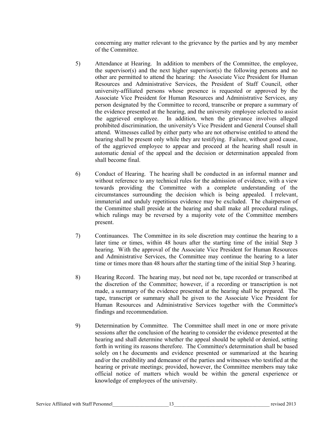concerning any matter relevant to the grievance by the parties and by any member of the Committee.

- 5) Attendance at Hearing. In addition to members of the Committee, the employee, the supervisor(s) and the next higher supervisor(s) the following persons and no other are permitted to attend the hearing: the Associate Vice President for Human Resources and Administrative Services, the President of Staff Council, other university-affiliated persons whose presence is requested or approved by the Associate Vice President for Human Resources and Administrative Services, any person designated by the Committee to record, transcribe or prepare a summary of the evidence presented at the hearing, and the university employee selected to assist the aggrieved employee. In addition, when the grievance involves alleged prohibited discrimination, the university's Vice President and General Counsel shall attend. Witnesses called by either party who are not otherwise entitled to attend the hearing shall be present only while they are testifying. Failure, without good cause, of the aggrieved employee to appear and proceed at the hearing shall result in automatic denial of the appeal and the decision or determination appealed from shall become final.
- 6) Conduct of Hearing. T he hearing shall be conducted in an informal manner and without reference to any technical rules for the admission of evidence, with a view towards providing the Committee with a complete understanding of the circumstances surrounding the decision which is being appealed. I rrelevant, immaterial and unduly repetitious evidence may be excluded. The chairperson of the Committee shall preside at the hearing and shall make all procedural rulings, which rulings may be reversed by a majority vote of the Committee members present.
- 7) Continuances. The Committee in its sole discretion may continue the hearing to a later time or times, within 48 hours after the starting time of the initial Step 3 hearing. With the approval of the Associate Vice President for Human Resources and Administrative Services, the Committee may continue the hearing to a later time or times more than 48 hours after the starting time of the initial Step 3 hearing.
- 8) Hearing Record. The hearing may, but need not be, tape recorded or transcribed at the discretion of the Committee; however, if a recording or transcription is not made, a summary of the evidence presented at the hearing shall be prepared. The tape, transcript or summary shall be given to the Associate Vice President for Human Resources and Administrative Services together with the Committee's findings and recommendation.
- 9) Determination by Committee. The Committee shall meet in one or more private sessions after the conclusion of the hearing to consider the evidence presented at the hearing and shall determine whether the appeal should be upheld or denied, setting forth in writing its reasons therefore. The Committee's determination shall be based solely on t he documents and evidence presented or summarized at the hearing and/or the credibility and demeanor of the parties and witnesses who testified at the hearing or private meetings; provided, however, the Committee members may take official notice of matters which would be within the general experience or knowledge of employees of the university.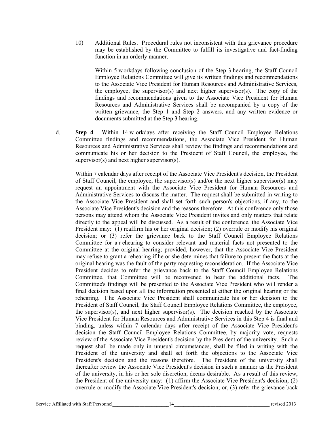10) Additional Rules. Procedural rules not inconsistent with this grievance procedure may be established by the Committee to fulfill its investigative and fact-finding function in an orderly manner.

Within 5 workdays following conclusion of the Step 3 hearing, the Staff Council Employee Relations Committee will give its written findings and recommendations to the Associate Vice President for Human Resources and Administrative Services, the employee, the supervisor(s) and next higher supervisor(s). The copy of the findings and recommendations given to the Associate Vice President for Human Resources and Administrative Services shall be accompanied by a copy of the written grievance, the Step 1 and Step 2 answers, and any written evidence or documents submitted at the Step 3 hearing.

d. **Step 4**. Within 14 w orkdays after receiving the Staff Council Employee Relations Committee findings and recommendations, the Associate Vice President for Human Resources and Administrative Services shall review the findings and recommendations and communicate his or her decision to the President of Staff Council, the employee, the supervisor(s) and next higher supervisor(s).

Within 7 calendar days after receipt of the Associate Vice President's decision, the President of Staff Council, the employee, the supervisor(s) and/or the next higher supervisor(s) may request an appointment with the Associate Vice President for Human Resources and Administrative Services to discuss the matter. The request shall be submitted in writing to the Associate Vice President and shall set forth such person's objections, if any, to the Associate Vice President's decision and the reasons therefore. At this conference only those persons may attend whom the Associate Vice President invites and only matters that relate directly to the appeal will be discussed. As a result of the conference, the Associate Vice President may: (1) reaffirm his or her original decision; (2) overrule or modify his original decision; or (3) refer the grievance back to the Staff Council Employee Relations Committee for a r ehearing to consider relevant and material facts not presented to the Committee at the original hearing; provided, however, that the Associate Vice President may refuse to grant a rehearing if he or she determines that failure to present the facts at the original hearing was the fault of the party requesting reconsideration. If the Associate Vice President decides to refer the grievance back to the Staff Council Employee Relations Committee, that Committee will be reconvened to hear the additional facts. The Committee's findings will be presented to the Associate Vice President who will render a final decision based upon all the information presented at either the original hearing or the rehearing. T he Associate Vice President shall communicate his or her decision to the President of Staff Council, the Staff Council Employee Relations Committee, the employee, the supervisor(s), and next higher supervisor(s). The decision reached by the Associate Vice President for Human Resources and Administrative Services in this Step 4 is final and binding, unless within 7 calendar days after receipt of the Associate Vice President's decision the Staff Council Employee Relations Committee, by majority vote, requests review of the Associate Vice President's decision by the President of the university. Such a request shall be made only in unusual circumstances, shall be filed in writing with the President of the university and shall set forth the objections to the Associate Vice President's decision and the reasons therefore. The President of the university shall thereafter review the Associate Vice President's decision in such a manner as the President of the university, in his or her sole discretion, deems desirable. As a result of this review, the President of the university may: (1) affirm the Associate Vice President's decision; (2) overrule or modify the Associate Vice President's decision; or, (3) refer the grievance back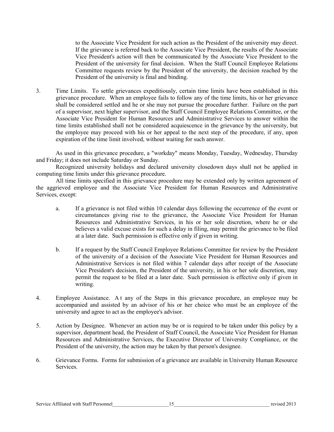to the Associate Vice President for such action as the President of the university may direct. If the grievance is referred back to the Associate Vice President, the results of the Associate Vice President's action will then be communicated by the Associate Vice President to the President of the university for final decision. When the Staff Council Employee Relations Committee requests review by the President of the university, the decision reached by the President of the university is final and binding.

3. Time Limits. To settle grievances expeditiously, certain time limits have been established in this grievance procedure. When an employee fails to follow any of the time limits, his or her grievance shall be considered settled and he or she may not pursue the procedure further. Failure on the part of a supervisor, next higher supervisor, and the Staff Council Employee Relations Committee, or the Associate Vice President for Human Resources and Administrative Services to answer within the time limits established shall not be considered acquiescence in the grievance by the university, but the employee may proceed with his or her appeal to the next step of the procedure, if any, upon expiration of the time limit involved, without waiting for such answer.

As used in this grievance procedure, a "workday" means Monday, Tuesday, Wednesday, Thursday and Friday; it does not include Saturday or Sunday.

Recognized university holidays and declared university closedown days shall not be applied in computing time limits under this grievance procedure.

All time limits specified in this grievance procedure may be extended only by written agreement of the aggrieved employee and the Associate Vice President for Human Resources and Administrative Services, except:

- a. If a grievance is not filed within 10 calendar days following the occurrence of the event or circumstances giving rise to the grievance, the Associate Vice President for Human Resources and Administrative Services, in his or her sole discretion, where he or she believes a valid excuse exists for such a delay in filing, may permit the grievance to be filed at a later date. Such permission is effective only if given in writing.
- b. If a request by the Staff Council Employee Relations Committee for review by the President of the university of a decision of the Associate Vice President for Human Resources and Administrative Services is not filed within 7 calendar days after receipt of the Associate Vice President's decision, the President of the university, in his or her sole discretion, may permit the request to be filed at a later date. Such permission is effective only if given in writing.
- 4. Employee Assistance. A t any of the Steps in this grievance procedure, an employee may be accompanied and assisted by an advisor of his or her choice who must be an employee of the university and agree to act as the employee's advisor.
- 5. Action by Designee. Whenever an action may be or is required to be taken under this policy by a supervisor, department head, the President of Staff Council, the Associate Vice President for Human Resources and Administrative Services, the Executive Director of University Compliance, or the President of the university, the action may be taken by that person's designee.
- 6. Grievance Forms. Forms for submission of a grievance are available in University Human Resource Services.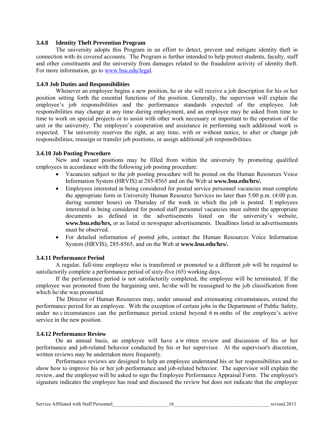#### **3.4.8 Identity Theft Prevention Program**

The university adopts this Program in an effort to detect, prevent and mitigate identity theft in connection with its covered accounts. The Program is further intended to help protect students, faculty, staff and other constituents and the university from damages related to the fraudulent activity of identity theft. For more information, go to [www.bsu.edu/legal.](http://www.bsu.edu/legal)

#### **3.4.9 Job Duties and Responsibilities**

Whenever an employee begins a new position, he or she will receive a job description for his or her position setting forth the essential functions of the position. Generally, the supervisor will explain the employee's job responsibilities and the performance standards expected of the employee. Job responsibilities may change at any time during employment, and an employee may be asked from time to time to work on special projects or to assist with other work necessary or important to the operation of the unit or the university. The employee's cooperation and assistance in performing such additional work is expected. T he university reserves the right, at any time, with or without notice, to alter or change job responsibilities, reassign or transfer job positions, or assign additional job responsibilities.

#### **3.4.10 Job Posting Procedure**

New and vacant positions may be filled from within the university by promoting qualified employees in accordance with the following job posting procedure:

- Vacancies subject to the job posting procedure will be posted on the Human Resources Voice Information System (HRVIS) at 285-8565 and on the Web at **www.bsu.edu/hrs/.**
- Employees interested in being considered for posted service personnel vacancies must complete the appropriate form in University Human Resource Services no later than 5:00 p.m. (4:00 p.m. during summer hours) on Thursday of the week in which the job is posted. E mployees interested in being considered for posted staff personnel vacancies must submit the appropriate documents as defined in the advertisements listed on the university's website, **www.bsu.edu/hrs,** or as listed in newspaper advertisements. Deadlines listed in advertisements must be observed.
- For detailed information of posted jobs, contact the Human Resources Voice Information System (HRVIS), 285-8565, and on the Web at **www.bsu.edu/hrs/.**

#### **3.4.11 Performance Period**

A regular, full-time employee who is transferred or promoted to a different job will be required to satisfactorily complete a performance period of sixty-five (65) working days.

If the performance period is not satisfactorily completed, the employee will be terminated. If the employee was promoted from the bargaining unit, he/she will be reassigned to the job classification from which he/she was promoted.

The Director of Human Resources may, under unusual and extenuating circumstances, extend the performance period for an employee. With the exception of certain jobs in the Department of Public Safety, under no c ircumstances can the performance period extend beyond 6 m onths of the employee's active service in the new position.

#### **3.4.12 Performance Review**

On an annual basis, an employee will have a w ritten review and discussion of his or her performance and job-related behavior conducted by his or her supervisor. At the supervisor's discretion, written reviews may be undertaken more frequently.

Performance reviews are designed to help an employee understand his or her responsibilities and to show how to improve his or her job performance and job-related behavior. The supervisor will explain the review, and the employee will be asked to sign the Employee Performance Appraisal Form. The employee's signature indicates the employee has read and discussed the review but does not indicate that the employee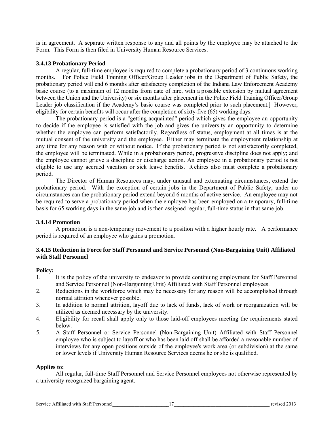is in agreement. A separate written response to any and all points by the employee may be attached to the Form. This Form is then filed in University Human Resource Services.

#### **3.4.13 Probationary Period**

A regular, full-time employee is required to complete a probationary period of 3 continuous working months. [For Police Field Training Officer/Group Leader jobs in the Department of Public Safety, the probationary period will end 6 months after satisfactory completion of the Indiana Law Enforcement Academy basic course (to a maximum of 12 months from date of hire, with a possible extension by mutual agreement between the Union and the University) or six months after placement in the Police Field Training Officer/Group Leader job classification if the Academy's basic course was completed prior to such placement.] However, eligibility for certain benefits will occur after the completion of sixty-five (65) working days.

The probationary period is a "getting acquainted" period which gives the employee an opportunity to decide if the employee is satisfied with the job and gives the university an opportunity to determine whether the employee can perform satisfactorily. Regardless of status, employment at all times is at the mutual consent of the university and the employee. Either may terminate the employment relationship at any time for any reason with or without notice. If the probationary period is not satisfactorily completed, the employee will be terminated. While in a probationary period, progressive discipline does not apply; and the employee cannot grieve a discipline or discharge action. An employee in a probationary period is not eligible to use any accrued vacation or sick leave benefits. R ehires also must complete a probationary period.

The Director of Human Resources may, under unusual and extenuating circumstances, extend the probationary period. With the exception of certain jobs in the Department of Public Safety, under no circumstances can the probationary period extend beyond 6 months of active service. An employee may not be required to serve a probationary period when the employee has been employed on a temporary, full-time basis for 65 working days in the same job and is then assigned regular, full-time status in that same job.

# **3.4.14 Promotion**

A promotion is a non-temporary movement to a position with a higher hourly rate. A performance period is required of an employee who gains a promotion.

#### **3.4.15 Reduction in Force for Staff Personnel and Service Personnel (Non-Bargaining Unit) Affiliated with Staff Personnel**

#### **Policy:**

- 1. It is the policy of the university to endeavor to provide continuing employment for Staff Personnel and Service Personnel (Non-Bargaining Unit) Affiliated with Staff Personnel employees.
- 2. Reductions in the workforce which may be necessary for any reason will be accomplished through normal attrition whenever possible.
- 3. In addition to normal attrition, layoff due to lack of funds, lack of work or reorganization will be utilized as deemed necessary by the university.
- 4. Eligibility for recall shall apply only to those laid-off employees meeting the requirements stated below.
- 5. A Staff Personnel or Service Personnel (Non-Bargaining Unit) Affiliated with Staff Personnel employee who is subject to layoff or who has been laid off shall be afforded a reasonable number of interviews for any open positions outside of the employee's work area (or subdivision) at the same or lower levels if University Human Resource Services deems he or she is qualified.

#### **Applies to:**

All regular, full-time Staff Personnel and Service Personnel employees not otherwise represented by a university recognized bargaining agent.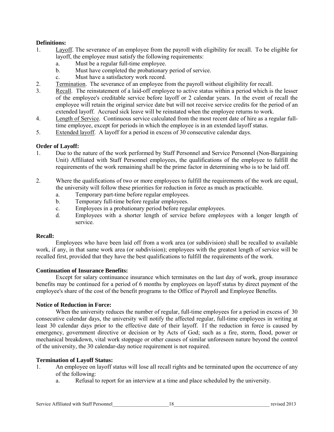# **Definitions:**

- 1. Layoff. The severance of an employee from the payroll with eligibility for recall. To be eligible for layoff, the employee must satisfy the following requirements:
	- a. Must be a regular full-time employee.
	- b. Must have completed the probationary period of service.
	- c. Must have a satisfactory work record.
- 2. Termination. The severance of an employee from the payroll without eligibility for recall.
- 3. Recall. The reinstatement of a laid-off employee to active status within a period which is the lesser of the employee's creditable service before layoff or 2 calendar years. In the event of recall the employee will retain the original service date but will not receive service credits for the period of an extended layoff. Accrued sick leave will be reinstated when the employee returns to work.
- 4. Length of Service. Continuous service calculated from the most recent date of hire as a regular fulltime employee, except for periods in which the employee is in an extended layoff status.
- 5. Extended layoff. A layoff for a period in excess of 30 consecutive calendar days.

#### **Order of Layoff:**

- 1. Due to the nature of the work performed by Staff Personnel and Service Personnel (Non-Bargaining Unit) Affiliated with Staff Personnel employees, the qualifications of the employee to fulfill the requirements of the work remaining shall be the prime factor in determining who is to be laid off.
- 2. Where the qualifications of two or more employees to fulfill the requirements of the work are equal, the university will follow these priorities for reduction in force as much as practicable.
	- a. Temporary part-time before regular employees.
	- b. Temporary full-time before regular employees.
	- c. Employees in a probationary period before regular employees.
	- d. Employees with a shorter length of service before employees with a longer length of service.

#### **Recall:**

Employees who have been laid off from a work area (or subdivision) shall be recalled to available work, if any, in that same work area (or subdivision); employees with the greatest length of service will be recalled first, provided that they have the best qualifications to fulfill the requirements of the work.

#### **Continuation of Insurance Benefits:**

Except for salary continuance insurance which terminates on the last day of work, group insurance benefits may be continued for a period of 6 months by employees on layoff status by direct payment of the employee's share of the cost of the benefit programs to the Office of Payroll and Employee Benefits.

#### **Notice of Reduction in Force:**

When the university reduces the number of regular, full-time employees for a period in excess of 30 consecutive calendar days, the university will notify the affected regular, full-time employees in writing at least 30 calendar days prior to the effective date of their layoff. If the reduction in force is caused by emergency, government directive or decision or by Acts of God; such as a fire, storm, flood, power or mechanical breakdown, vital work stoppage or other causes of similar unforeseen nature beyond the control of the university, the 30 calendar-day notice requirement is not required.

#### **Termination of Layoff Status:**

- 1. An employee on layoff status will lose all recall rights and be terminated upon the occurrence of any of the following:
	- a. Refusal to report for an interview at a time and place scheduled by the university.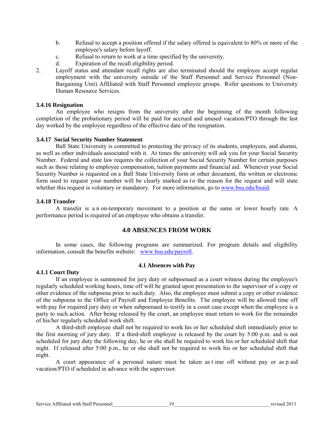- b. Refusal to accept a position offered if the salary offered is equivalent to 80% or more of the employee's salary before layoff.
- c. Refusal to return to work at a time specified by the university.
- d. Expiration of the recall eligibility period.
- 2. Layoff status and attendant recall rights are also terminated should the employee accept regular employment with the university outside of the Staff Personnel and Service Personnel (Non-Bargaining Unit) Affiliated with Staff Personnel employee groups. Refer questions to University Human Resource Services.

#### **3.4.16 Resignation**

An employee who resigns from the university after the beginning of the month following completion of the probationary period will be paid for accrued and unused vacation/PTO through the last day worked by the employee regardless of the effective date of the resignation.

#### **3.4.17 Social Security Number Statement**

Ball State University is committed to protecting the privacy of its students, employees, and alumni, as well as other individuals associated with it. At times the university will ask you for your Social Security Number. Federal and state law requires the collection of your Social Security Number for certain purposes such as those relating to employee compensation, tuition payments and financial aid. Whenever your Social Security Number is requested on a Ball State University form or other document, the written or electronic form used to request your number will be clearly marked as to the reason for the request and will state whether this request is voluntary or mandatory. For more information, go t[o www.bsu.edu/bsuid.](http://www.bsu.edu/bsuid)

#### **3.4.18 Transfer**

A transfer is a n on-temporary movement to a position at the same or lower hourly rate. A performance period is required of an employee who obtains a transfer.

#### **4.0 ABSENCES FROM WORK**

In some cases, the following programs are summarized. For program details and eligibility information, consult the benefits website: [www.bsu.edu/payroll.](http://www.bsu.edu/payroll)

#### **4.1 Absences with Pay**

#### **4.1.1 Court Duty**

If an employee is summoned for jury duty or subpoenaed as a court witness during the employee's regularly scheduled working hours, time off will be granted upon presentation to the supervisor of a copy or other evidence of the subpoena prior to such duty. Also, the employee must submit a copy or other evidence of the subpoena to the Office of Payroll and Employee Benefits. The employee will be allowed time off with pay for required jury duty or when subpoenaed to testify in a court case except when the employee is a party to such action. After being released by the court, an employee must return to work for the remainder of his/her regularly scheduled work shift.

A third-shift employee shall not be required to work his or her scheduled shift immediately prior to the first morning of jury duty. If a third-shift employee is released by the court by 5:00 p.m. and is not scheduled for jury duty the following day, he or she shall be required to work his or her scheduled shift that night. If released after 5:00 p.m., he or she shall not be required to work his or her scheduled shift that night.

A court appearance of a personal nature must be taken as t ime off without pay or as p aid vacation/PTO if scheduled in advance with the supervisor.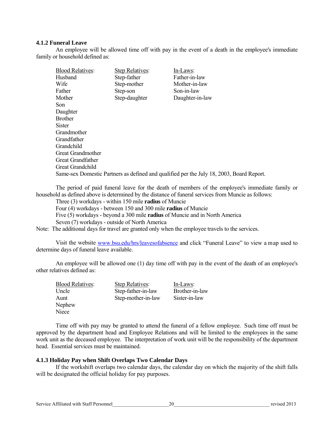#### **4.1.2 Funeral Leave**

An employee will be allowed time off with pay in the event of a death in the employee's immediate family or household defined as:

| <b>Blood Relatives:</b>  | <b>Step Relatives:</b> | In-Laws:                                                                                 |
|--------------------------|------------------------|------------------------------------------------------------------------------------------|
| Husband                  | Step-father            | Father-in-law                                                                            |
| Wife                     | Step-mother            | Mother-in-law                                                                            |
| Father                   | Step-son               | Son-in-law                                                                               |
| Mother                   | Step-daughter          | Daughter-in-law                                                                          |
| Son                      |                        |                                                                                          |
| Daughter                 |                        |                                                                                          |
| Brother                  |                        |                                                                                          |
| Sister                   |                        |                                                                                          |
| Grandmother              |                        |                                                                                          |
| Grandfather              |                        |                                                                                          |
| Grandchild               |                        |                                                                                          |
| <b>Great Grandmother</b> |                        |                                                                                          |
| Great Grandfather        |                        |                                                                                          |
| <b>Great Grandchild</b>  |                        |                                                                                          |
|                          |                        | Same-sex Domestic Partners as defined and qualified per the July 18, 2003, Board Report. |

The period of paid funeral leave for the death of members of the employee's immediate family or household as defined above is determined by the distance of funeral services from Muncie as follows:

Three (3) workdays - within 150 mile **radius** of Muncie

Four (4) workdays - between 150 and 300 mile **radius** of Muncie

Five (5) workdays - beyond a 300 mile **radius** of Muncie and in North America

Seven (7) workdays - outside of North America

Note: The additional days for travel are granted only when the employee travels to the services.

Visit the website [www.bsu.edu/hrs/leavesofabsence](http://www.bsu.edu/hrs/leavesofabsence) and click "Funeral Leave" to view a map used to determine days of funeral leave available.

An employee will be allowed one (1) day time off with pay in the event of the death of an employee's other relatives defined as:

| <b>Blood Relatives:</b> | <b>Step Relatives:</b> | In-Laws:       |
|-------------------------|------------------------|----------------|
| Uncle                   | Step-father-in-law     | Brother-in-law |
| Aunt                    | Step-mother-in-law     | Sister-in-law  |
| Nephew                  |                        |                |
| Niece                   |                        |                |
|                         |                        |                |

Time off with pay may be granted to attend the funeral of a fellow employee. Such time off must be approved by the department head and Employee Relations and will be limited to the employees in the same work unit as the deceased employee. The interpretation of work unit will be the responsibility of the department head. Essential services must be maintained.

#### **4.1.3 Holiday Pay when Shift Overlaps Two Calendar Days**

If the workshift overlaps two calendar days, the calendar day on which the majority of the shift falls will be designated the official holiday for pay purposes.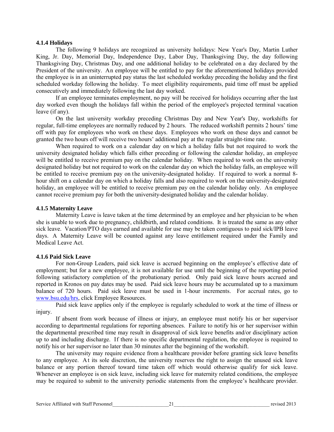#### **4.1.4 Holidays**

The following 9 holidays are recognized as university holidays: New Year's Day, Martin Luther King, Jr. Day, Memorial Day, Independence Day, Labor Day, Thanksgiving Day, the day following Thanksgiving Day, Christmas Day, and one additional holiday to be celebrated on a day declared by the President of the university. An employee will be entitled to pay for the aforementioned holidays provided the employee is in an uninterrupted pay status the last scheduled workday preceding the holiday and the first scheduled workday following the holiday. To meet eligibility requirements, paid time off must be applied consecutively and immediately following the last day worked.

If an employee terminates employment, no pay will be received for holidays occurring after the last day worked even though the holidays fall within the period of the employee's projected terminal vacation leave (if any).

On the last university workday preceding Christmas Day and New Year's Day, workshifts for regular, full-time employees are normally reduced by 2 hours. The reduced workshift permits 2 hours' time off with pay for employees who work on these days. Employees who work on these days and cannot be granted the two hours off will receive two hours' additional pay at the regular straight-time rate.

When required to work on a calendar day on w hich a holiday falls but not required to work the university designated holiday which falls either preceding or following the calendar holiday, an employee will be entitled to receive premium pay on the calendar holiday. When required to work on the university designated holiday but not required to work on the calendar day on which the holiday falls, an employee will be entitled to receive premium pay on the university-designated holiday. If required to work a normal 8 hour shift on a calendar day on which a holiday falls and also required to work on the university-designated holiday, an employee will be entitled to receive premium pay on the calendar holiday only. An employee cannot receive premium pay for both the university-designated holiday and the calendar holiday.

#### **4.1.5 Maternity Leave**

Maternity Leave is leave taken at the time determined by an employee and her physician to be when she is unable to work due to pregnancy, childbirth, and related conditions. It is treated the same as any other sick leave. Vacation/PTO days earned and available for use may be taken contiguous to paid sick/IPB leave days. A Maternity Leave will be counted against any leave entitlement required under the Family and Medical Leave Act.

#### **4.1.6 Paid Sick Leave**

For non-Group Leaders, paid sick leave is accrued beginning on the employee's effective date of employment; but for a new employee, it is not available for use until the beginning of the reporting period following satisfactory completion of the probationary period. Only paid sick leave hours accrued and reported in Kronos on pay dates may be used. Paid sick leave hours may be accumulated up to a maximum balance of 720 hours. Paid sick leave must be used in 1-hour increments. For accrual rates, go to [www.bsu.edu/hrs,](http://www.bsu.edu/hrs) click Employee Resources.

Paid sick leave applies only if the employee is regularly scheduled to work at the time of illness or injury.

If absent from work because of illness or injury, an employee must notify his or her supervisor according to departmental regulations for reporting absences. Failure to notify his or her supervisor within the departmental prescribed time may result in disapproval of sick leave benefits and/or disciplinary action up to and including discharge. If there is no specific departmental regulation, the employee is required to notify his or her supervisor no later than 30 minutes after the beginning of the workshift.

The university may require evidence from a healthcare provider before granting sick leave benefits to any employee. A t its sole discretion, the university reserves the right to assign the unused sick leave balance or any portion thereof toward time taken off which would otherwise qualify for sick leave. Whenever an employee is on sick leave, including sick leave for maternity related conditions, the employee may be required to submit to the university periodic statements from the employee's healthcare provider.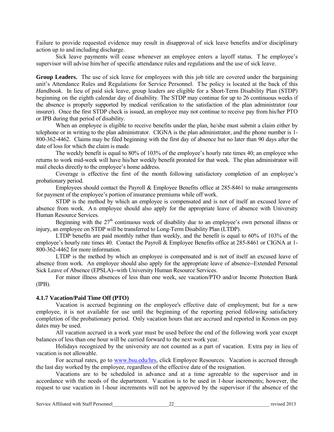Failure to provide requested evidence may result in disapproval of sick leave benefits and/or disciplinary action up to and including discharge.

Sick leave payments will cease whenever an employee enters a layoff status. T he employee's supervisor will advise him/her of specific attendance rules and regulations and the use of sick leave.

**Group Leaders.** The use of sick leave for employees with this job title are covered under the bargaining unit's Attendance Rules and Regulations for Service Personnel. The policy is located at the back of this *Handbook.* In lieu of paid sick leave, group leaders are eligible for a Short-Term Disability Plan (STDP) beginning on the eighth calendar day of disability. The STDP may continue for up to 26 continuous weeks if the absence is properly supported by medical verification to the satisfaction of the plan administrator (our insurer). Once the first STDP check is issued, an employee may not continue to receive pay from his/her PTO or IPB during that period of disability.

When an employee is eligible to receive benefits under the plan, he/she must submit a claim either by telephone or in writing to the plan administrator. CIGNA is the plan administrator, and the phone number is 1- 800-362-4462. Claims may be filed beginning with the first day of absence but no later than 90 days after the date of loss for which the claim is made.

The weekly benefit is equal to 80% of 103% of the employee's hourly rate times 40; an employee who returns to work mid-week will have his/her weekly benefit prorated for that week. The plan administrator will mail checks directly to the employee's home address.

Coverage is effective the first of the month following satisfactory completion of an employee's probationary period.

Employees should contact the Payroll & Employee Benefits office at 285-8461 to make arrangements for payment of the employee's portion of insurance premiums while off work.

STDP is the method by which an employee is compensated and is not of itself an excused leave of absence from work. A n employee should also apply for the appropriate leave of absence with University Human Resource Services.

Beginning with the  $27<sup>th</sup>$  continuous week of disability due to an employee's own personal illness or injury, an employee on STDP will be transferred to Long-Term Disability Plan (LTDP).

LTDP benefits are paid monthly rather than weekly, and the benefit is equal to 60% of 103% of the employee's hourly rate times 40. Contact the Payroll & Employee Benefits office at 285-8461 or CIGNA at 1- 800-362-4462 for more information.

LTDP is the method by which an employee is compensated and is not of itself an excused leave of absence from work. An employee should also apply for the appropriate leave of absence--Extended Personal Sick Leave of Absence (EPSLA)--with University Human Resource Services.

For minor illness absences of less than one week, see vacation/PTO and/or Income Protection Bank (IPB).

#### **4.1.7 Vacation/Paid Time Off (PTO)**

Vacation is accrued beginning on the employee's effective date of employment; but for a new employee, it is not available for use until the beginning of the reporting period following satisfactory completion of the probationary period. Only vacation hours that are accrued and reported in Kronos on pay dates may be used.

All vacation accrued in a work year must be used before the end of the following work year except balances of less than one hour will be carried forward to the next work year.

Holidays recognized by the university are not counted as a part of vacation. Extra pay in lieu of vacation is not allowable.

For accrual rates, go to [www.bsu.edu/hrs,](http://www.bsu.edu/hrs) click Employee Resources. Vacation is accrued through the last day worked by the employee, regardless of the effective date of the resignation.

Vacations are to be scheduled in advance and at a time agreeable to the supervisor and in accordance with the needs of the department. Vacation is to be used in 1-hour increments; however, the request to use vacation in 1-hour increments will not be approved by the supervisor if the absence of the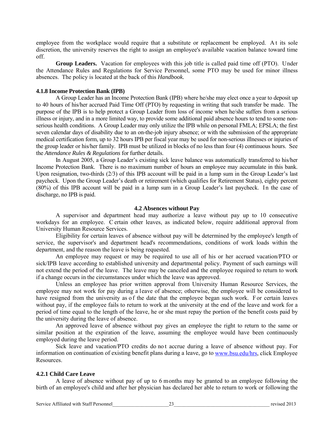employee from the workplace would require that a substitute or replacement be employed. A t its sole discretion, the university reserves the right to assign an employee's available vacation balance toward time off.

**Group Leaders.** Vacation for employees with this job title is called paid time off (PTO). Under the Attendance Rules and Regulations for Service Personnel, some PTO may be used for minor illness absences. The policy is located at the back of this *Handbook.*

#### **4.1.8 Income Protection Bank (IPB)**

A Group Leader has an Income Protection Bank (IPB) where he/she may elect once a year to deposit up to 40 hours of his/her accrued Paid Time Off (PTO) by requesting in writing that such transfer be made. The purpose of the IPB is to help protect a Group Leader from loss of income when he/she suffers from a serious illness or injury, and in a more limited way, to provide some additional paid absence hours to tend to some nonserious health conditions. A Group Leader may only utilize the IPB while on personal FMLA; EPSLA; the first seven calendar days of disability due to an on-the-job injury absence; or with the submission of the appropriate medical certification form, up to 32 hours IPB per fiscal year may be used for non-serious illnesses or injuries of the group leader or his/her family. IPB must be utilized in blocks of no less than four (4) continuous hours. See the *Attendance Rules & Regulations* for further details.

In August 2005, a Group Leader's existing sick leave balance was automatically transferred to his/her Income Protection Bank. There is no maximum number of hours an employee may accumulate in this bank. Upon resignation, two-thirds (2/3) of this IPB account will be paid in a lump sum in the Group Leader's last paycheck. Upon the Group Leader's death or retirement (which qualifies for Retirement Status), eighty percent (80%) of this IPB account will be paid in a lump sum in a Group Leader's last paycheck. In the case of discharge, no IPB is paid.

#### **4.2 Absences without Pay**

A supervisor and department head may authorize a leave without pay up to 10 consecutive workdays for an employee. C ertain other leaves, as indicated below, require additional approval from University Human Resource Services.

Eligibility for certain leaves of absence without pay will be determined by the employee's length of service, the supervisor's and department head's recommendations, conditions of work loads within the department, and the reason the leave is being requested.

An employee may request or may be required to use all of his or her accrued vacation/PTO or sick/IPB leave according to established university and departmental policy. Payment of such earnings will not extend the period of the leave. The leave may be canceled and the employee required to return to work if a change occurs in the circumstances under which the leave was approved.

Unless an employee has prior written approval from University Human Resource Services, the employee may not work for pay during a leave of absence; otherwise, the employee will be considered to have resigned from the university as of the date that the employee began such work. For certain leaves without pay, if the employee fails to return to work at the university at the end of the leave and work for a period of time equal to the length of the leave, he or she must repay the portion of the benefit costs paid by the university during the leave of absence.

An approved leave of absence without pay gives an employee the right to return to the same or similar position at the expiration of the leave, assuming the employee would have been continuously employed during the leave period.

Sick leave and vacation/PTO credits do not accrue during a leave of absence without pay. For information on continuation of existing benefit plans during a leave, go to [www.bsu.edu/hrs,](http://www.bsu.edu/hrs/) click Employee Resources.

#### **4.2.1 Child Care Leave**

A leave of absence without pay of up to 6 months may be granted to an employee following the birth of an employee's child and after her physician has declared her able to return to work or following the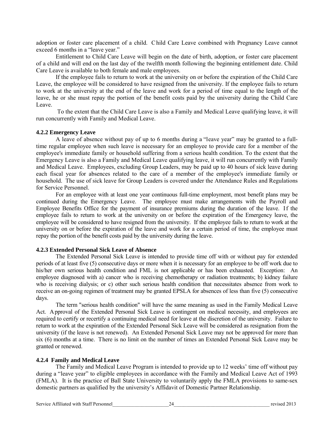adoption or foster care placement of a child. C hild Care Leave combined with Pregnancy Leave cannot exceed 6 months in a "leave year."

Entitlement to Child Care Leave will begin on the date of birth, adoption, or foster care placement of a child and will end on the last day of the twelfth month following the beginning entitlement date. Child Care Leave is available to both female and male employees.

If the employee fails to return to work at the university on or before the expiration of the Child Care Leave, the employee will be considered to have resigned from the university. If the employee fails to return to work at the university at the end of the leave and work for a period of time equal to the length of the leave, he or she must repay the portion of the benefit costs paid by the university during the Child Care Leave.

 To the extent that the Child Care Leave is also a Family and Medical Leave qualifying leave, it will run concurrently with Family and Medical Leave.

#### **4.2.2 Emergency Leave**

A leave of absence without pay of up to 6 months during a "leave year" may be granted to a fulltime regular employee when such leave is necessary for an employee to provide care for a member of the employee's immediate family or household suffering from a serious health condition. To the extent that the Emergency Leave is also a Family and Medical Leave qualifying leave, it will run concurrently with Family and Medical Leave. Employees, excluding Group Leaders, may be paid up to 40 hours of sick leave during each fiscal year for absences related to the care of a member of the employee's immediate family or household. The use of sick leave for Group Leaders is covered under the Attendance Rules and Regulations for Service Personnel.

For an employee with at least one year continuous full-time employment, most benefit plans may be continued during the Emergency Leave. The employee must make arrangements with the Payroll and Employee Benefits Office for the payment of insurance premiums during the duration of the leave. If the employee fails to return to work at the university on or before the expiration of the Emergency leave, the employee will be considered to have resigned from the university. If the employee fails to return to work at the university on or before the expiration of the leave and work for a certain period of time, the employee must repay the portion of the benefit costs paid by the university during the leave.

#### **4.2.3 Extended Personal Sick Leave of Absence**

The Extended Personal Sick Leave is intended to provide time off with or without pay for extended periods of at least five (5) consecutive days or more when it is necessary for an employee to be off work due to his/her own serious health condition and FML is not applicable or has been exhausted. Exception: An employee diagnosed with a) cancer who is receiving chemotherapy or radiation treatments; b) kidney failure who is receiving dialysis; or c) other such serious health condition that necessitates absence from work to receive an on-going regimen of treatment may be granted EPSLA for absences of less than five (5) consecutive days.

The term "serious health condition" will have the same meaning as used in the Family Medical Leave Act. Approval of the Extended Personal Sick Leave is contingent on medical necessity, and employees are required to certify or recertify a continuing medical need for leave at the discretion of the university. Failure to return to work at the expiration of the Extended Personal Sick Leave will be considered as resignation from the university (if the leave is not renewed). An Extended Personal Sick Leave may not be approved for more than six (6) months at a time. There is no limit on the number of times an Extended Personal Sick Leave may be granted or renewed.

#### **4.2.4 Family and Medical Leave**

The Family and Medical Leave Program is intended to provide up to 12 weeks' time off without pay during a "leave year" to eligible employees in accordance with the Family and Medical Leave Act of 1993 (FMLA). It is the practice of Ball State University to voluntarily apply the FMLA provisions to same-sex domestic partners as qualified by the university's Affidavit of Domestic Partner Relationship.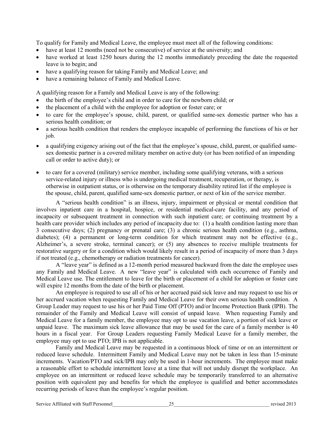To qualify for Family and Medical Leave, the employee must meet all of the following conditions:

- have at least 12 months (need not be consecutive) of service at the university; and
- have worked at least 1250 hours during the 12 months immediately preceding the date the requested leave is to begin; and
- have a qualifying reason for taking Family and Medical Leave; and
- have a remaining balance of Family and Medical Leave.

A qualifying reason for a Family and Medical Leave is any of the following:

- the birth of the employee's child and in order to care for the newborn child; or
- the placement of a child with the employee for adoption or foster care; or
- to care for the employee's spouse, child, parent, or qualified same-sex domestic partner who has a serious health condition; or
- a serious health condition that renders the employee incapable of performing the functions of his or her job.
- a qualifying exigency arising out of the fact that the employee's spouse, child, parent, or qualified samesex domestic partner is a covered military member on active duty (or has been notified of an impending call or order to active duty); or
- to care for a covered (military) service member, including some qualifying veterans, with a serious service-related injury or illness who is undergoing medical treatment, recuperation, or therapy, is otherwise in outpatient status, or is otherwise on the temporary disability retired list if the employee is the spouse, child, parent, qualified same-sex domestic partner, or next of kin of the service member.

A "serious health condition" is an illness, injury, impairment or physical or mental condition that involves inpatient care in a hospital, hospice, or residential medical-care facility, and any period of incapacity or subsequent treatment in connection with such inpatient care; or continuing treatment by a health care provider which includes any period of incapacity due to: (1) a health condition lasting more than 3 consecutive days; (2) pregnancy or prenatal care; (3) a chronic serious health condition (e.g., asthma, diabetes); (4) a permanent or long-term condition for which treatment may not be effective (e.g., Alzheimer's, a severe stroke, terminal cancer); or (5) any absences to receive multiple treatments for restorative surgery or for a condition which would likely result in a period of incapacity of more than 3 days if not treated (e.g., chemotherapy or radiation treatments for cancer).

A "leave year" is defined as a 12-month period measured backward from the date the employee uses any Family and Medical Leave. A new "leave year" is calculated with each occurrence of Family and Medical Leave use. The entitlement to leave for the birth or placement of a child for adoption or foster care will expire 12 months from the date of the birth or placement.

An employee is required to use all of his or her accrued paid sick leave and may request to use his or her accrued vacation when requesting Family and Medical Leave for their own serious health condition. A Group Leader may request to use his or her Paid Time Off (PTO) and/or Income Protection Bank (IPB). The remainder of the Family and Medical Leave will consist of unpaid leave. When requesting Family and Medical Leave for a family member, the employee may opt to use vacation leave, a portion of sick leave or unpaid leave. The maximum sick leave allowance that may be used for the care of a family member is 40 hours in a fiscal year. For Group Leaders requesting Family Medical Leave for a family member, the employee may opt to use PTO; IPB is not applicable.

Family and Medical Leave may be requested in a continuous block of time or on an intermittent or reduced leave schedule. Intermittent Family and Medical Leave may not be taken in less than 15-minute increments. Vacation/PTO and sick/IPB may only be used in 1-hour increments. The employee must make a reasonable effort to schedule intermittent leave at a time that will not unduly disrupt the workplace. An employee on an intermittent or reduced leave schedule may be temporarily transferred to an alternative position with equivalent pay and benefits for which the employee is qualified and better accommodates recurring periods of leave than the employee's regular position.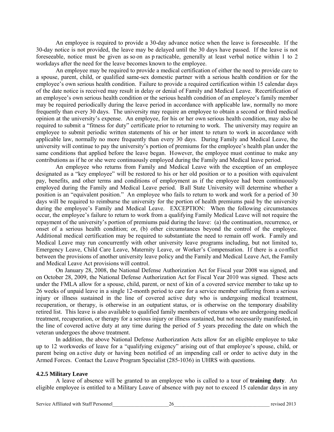An employee is required to provide a 30-day advance notice when the leave is foreseeable. If the 30-day notice is not provided, the leave may be delayed until the 30 days have passed. If the leave is not foreseeable, notice must be given as so on as p racticable, generally at least verbal notice within 1 to 2 workdays after the need for the leave becomes known to the employee.

An employee may be required to provide a medical certification of either the need to provide care to a spouse, parent, child, or qualified same-sex domestic partner with a serious health condition or for the employee's own serious health condition. Failure to provide a required certification within 15 calendar days of the date notice is received may result in delay or denial of Family and Medical Leave. Recertification of an employee's own serious health condition or the serious health condition of an employee's family member may be required periodically during the leave period in accordance with applicable law, normally no more frequently than every 30 days. The university may require an employee to obtain a second or third medical opinion at the university's expense. An employee, for his or her own serious health condition, may also be required to submit a "fitness for duty" certificate prior to returning to work. The university may require an employee to submit periodic written statements of his or her intent to return to work in accordance with applicable law, normally no more frequently than every 30 days. During Family and Medical Leave, the university will continue to pay the university's portion of premiums for the employee's health plan under the same conditions that applied before the leave began. However, the employee must continue to make any contributions as if he or she were continuously employed during the Family and Medical leave period.

An employee who returns from Family and Medical Leave with the exception of an employee designated as a "key employee" will be restored to his or her old position or to a position with equivalent pay, benefits, and other terms and conditions of employment as if the employee had been continuously employed during the Family and Medical Leave period. B all State University will determine whether a position is an "equivalent position." An employee who fails to return to work and work for a period of 30 days will be required to reimburse the university for the portion of health premiums paid by the university during the employee's Family and Medical Leave. EXCEPTION: When the following circumstances occur, the employee's failure to return to work from a qualifying Family Medical Leave will not require the repayment of the university's portion of premiums paid during the leave: (a) the continuation, recurrence, or onset of a serious health condition; or, (b) other circumstances beyond the control of the employee. Additional medical certification may be required to substantiate the need to remain off work. Family and Medical Leave may run concurrently with other university leave programs including, but not limited to, Emergency Leave, Child Care Leave, Maternity Leave, or Worker's Compensation. If there is a conflict between the provisions of another university leave policy and the Family and Medical Leave Act, the Family and Medical Leave Act provisions will control.

On January 28, 2008, the National Defense Authorization Act for Fiscal year 2008 was signed, and on October 28, 2009, the National Defense Authorization Act for Fiscal Year 2010 was signed. These acts under the FMLA allow for a spouse, child, parent, or next of kin of a covered service member to take up to 26 weeks of unpaid leave in a single 12-month period to care for a service member suffering from a serious injury or illness sustained in the line of covered active duty who is undergoing medical treatment, recuperation, or therapy, is otherwise in an outpatient status, or is otherwise on the temporary disability retired list. This leave is also available to qualified family members of veterans who are undergoing medical treatment, recuperation, or therapy for a serious injury or illness sustained, but not necessarily manifested, in the line of covered active duty at any time during the period of 5 years preceding the date on which the veteran undergoes the above treatment.

In addition, the above National Defense Authorization Acts allow for an eligible employee to take up to 12 workweeks of leave for a "qualifying exigency" arising out of that employee's spouse, child, or parent being on a ctive duty or having been notified of an impending call or order to active duty in the Armed Forces. Contact the Leave Program Specialist (285-1036) in UHRS with questions.

#### **4.2.5 Military Leave**

A leave of absence will be granted to an employee who is called to a tour of **training duty**. An eligible employee is entitled to a Military Leave of absence with pay not to exceed 15 calendar days in any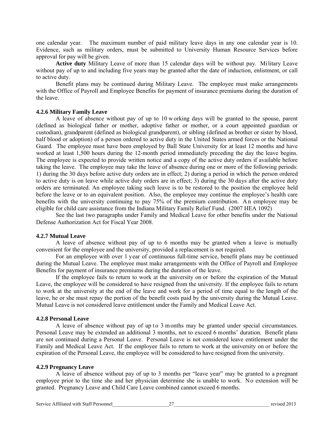one calendar year. The maximum number of paid military leave days in any one calendar year is 10. Evidence, such as military orders, must be submitted to University Human Resource Services before approval for pay will be given.

**Active duty** Military Leave of more than 15 calendar days will be without pay. Mi litary Leave without pay of up to and including five years may be granted after the date of induction, enlistment, or call to active duty.

Benefit plans may be continued during Military Leave. The employee must make arrangements with the Office of Payroll and Employee Benefits for payment of insurance premiums during the duration of the leave.

#### **4.2.6 Military Family Leave**

A leave of absence without pay of up to 10 w orking days will be granted to the spouse, parent (defined as biological father or mother, adoptive father or mother, or a court appointed guardian or custodian), grandparent (defined as biological grandparent), or sibling (defined as brother or sister by blood, half blood or adoption) of a person ordered to active duty in the United States armed forces or the National Guard. The employee must have been employed by Ball State University for at least 12 months and have worked at least 1,500 hours during the 12-month period immediately preceding the day the leave begins. The employee is expected to provide written notice and a copy of the active duty orders if available before taking the leave. The employee may take the leave of absence during one or more of the following periods: 1) during the 30 days before active duty orders are in effect; 2) during a period in which the person ordered to active duty is on leave while active duty orders are in effect; 3) during the 30 days after the active duty orders are terminated. An employee taking such leave is to be restored to the position the employee held before the leave or to an equivalent position. Also, the employee may continue the employee's health care benefits with the university continuing to pay 75% of the premium contribution. A n employee may be eligible for child care assistance from the Indiana Military Family Relief Fund. (2007 HEA 1092)

See the last two paragraphs under Family and Medical Leave for other benefits under the National Defense Authorization Act for Fiscal Year 2008.

#### **4.2.7 Mutual Leave**

A leave of absence without pay of up to 6 months may be granted when a leave is mutually convenient for the employee and the university, provided a replacement is not required.

For an employee with over 1 year of continuous full-time service, benefit plans may be continued during the Mutual Leave. The employee must make arrangements with the Office of Payroll and Employee Benefits for payment of insurance premiums during the duration of the leave.

If the employee fails to return to work at the university on or before the expiration of the Mutual Leave, the employee will be considered to have resigned from the university. If the employee fails to return to work at the university at the end of the leave and work for a period of time equal to the length of the leave, he or she must repay the portion of the benefit costs paid by the university during the Mutual Leave. Mutual Leave is not considered leave entitlement under the Family and Medical Leave Act.

#### **4.2.8 Personal Leave**

A leave of absence without pay of up to 3 months may be granted under special circumstances. Personal Leave may be extended an additional 3 months, not to exceed 6 months' duration. Benefit plans are not continued during a Personal Leave. Personal Leave is not considered leave entitlement under the Family and Medical Leave Act. If the employee fails to return to work at the university on or before the expiration of the Personal Leave, the employee will be considered to have resigned from the university.

#### **4.2.9 Pregnancy Leave**

A leave of absence without pay of up to 3 months per "leave year" may be granted to a pregnant employee prior to the time she and her physician determine she is unable to work. No extension will be granted. Pregnancy Leave and Child Care Leave combined cannot exceed 6 months.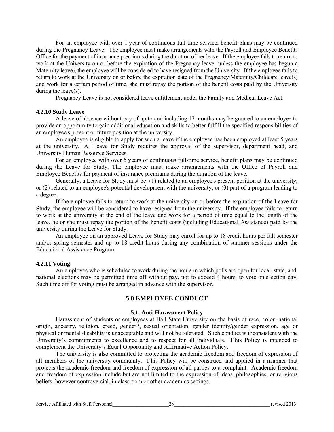For an employee with over 1 year of continuous full-time service, benefit plans may be continued during the Pregnancy Leave. The employee must make arrangements with the Payroll and Employee Benefits Office for the payment of insurance premiums during the duration of her leave. If the employee fails to return to work at the University on or before the expiration of the Pregnancy leave (unless the employee has begun a Maternity leave), the employee will be considered to have resigned from the University. If the employee fails to return to work at the University on or before the expiration date of the Pregnancy/Maternity/Childcare leave(s) and work for a certain period of time, she must repay the portion of the benefit costs paid by the University during the leave(s).

Pregnancy Leave is not considered leave entitlement under the Family and Medical Leave Act.

#### **4.2.10 Study Leave**

A leave of absence without pay of up to and including 12 months may be granted to an employee to provide an opportunity to gain additional education and skills to better fulfill the specified responsibilities of an employee's present or future position at the university.

An employee is eligible to apply for such a leave if the employee has been employed at least 5 years at the university. A Leave for Study requires the approval of the supervisor, department head, and University Human Resource Services.

For an employee with over 5 years of continuous full-time service, benefit plans may be continued during the Leave for Study. The employee must make arrangements with the Office of Payroll and Employee Benefits for payment of insurance premiums during the duration of the leave.

Generally, a Leave for Study must be: (1) related to an employee's present position at the university; or (2) related to an employee's potential development with the university; or (3) part of a program leading to a degree.

If the employee fails to return to work at the university on or before the expiration of the Leave for Study, the employee will be considered to have resigned from the university. If the employee fails to return to work at the university at the end of the leave and work for a period of time equal to the length of the leave, he or she must repay the portion of the benefit costs (including Educational Assistance) paid by the university during the Leave for Study.

 An employee on an approved Leave for Study may enroll for up to 18 credit hours per fall semester and/or spring semester and up to 18 credit hours during any combination of summer sessions under the Educational Assistance Program.

#### **4.2.11 Voting**

 An employee who is scheduled to work during the hours in which polls are open for local, state, and national elections may be permitted time off without pay, not to exceed 4 hours, to vote on election day. Such time off for voting must be arranged in advance with the supervisor.

# **5.0 EMPLOYEE CONDUCT**

#### **5.1. Anti-Harassment Policy**

Harassment of students or employees at Ball State University on the basis of race, color, national origin, ancestry, religion, creed, gender\*, sexual orientation, gender identity/gender expression, age or physical or mental disability is unacceptable and will not be tolerated. Such conduct is inconsistent with the University's commitments to excellence and to respect for all individuals. T his Policy is intended to complement the University's Equal Opportunity and Affirmative Action Policy.

The university is also committed to protecting the academic freedom and freedom of expression of all members of the university community. T his Policy will be construed and applied in a m anner that protects the academic freedom and freedom of expression of all parties to a complaint. Academic freedom and freedom of expression include but are not limited to the expression of ideas, philosophies, or religious beliefs, however controversial, in classroom or other academics settings.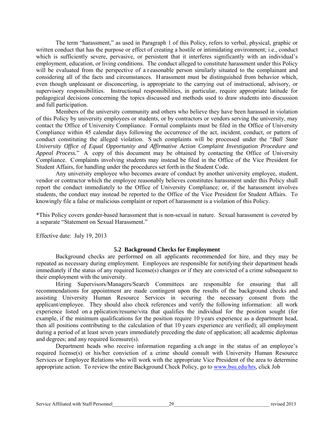The term "harassment," as used in Paragraph 1 of this Policy, refers to verbal, physical, graphic or written conduct that has the purpose or effect of creating a hostile or intimidating environment; i.e., conduct which is sufficiently severe, pervasive, or persistent that it interferes significantly with an individual's employment, education, or living conditions. The conduct alleged to constitute harassment under this Policy will be evaluated from the perspective of a r easonable person similarly situated to the complainant and considering all of the facts and circumstances. H arassment must be distinguished from behavior which, even though unpleasant or disconcerting, is appropriate to the carrying out of instructional, advisory, or supervisory responsibilities. Instructional responsibilities, in particular, require appropriate latitude for pedagogical decisions concerning the topics discussed and methods used to draw students into discussion and full participation.

Members of the university community and others who believe they have been harassed in violation of this Policy by university employees or students, or by contractors or vendors serving the university, may contact the Office of University Compliance. Formal complaints must be filed in the Office of University Compliance within 45 calendar days following the occurrence of the act, incident, conduct, or pattern of conduct constituting the alleged violation. S uch complaints will be processed under the "*Ball State University Office of Equal Opportunity and Affirmative Action Complaint Investigation Procedure and Appeal Process.*" A copy of this document may be obtained by contacting the Office of University Compliance. Complaints involving students may instead be filed in the Office of the Vice President for Student Affairs, for handling under the procedures set forth in the Student Code.

Any university employee who becomes aware of conduct by another university employee, student, vendor or contractor which the employee reasonably believes constitutes harassment under this Policy shall report the conduct immediately to the Office of University Compliance; or, if the harassment involves students, the conduct may instead be reported to the Office of the Vice President for Student Affairs. To knowingly file a false or malicious complaint or report of harassment is a violation of this Policy.

\*This Policy covers gender-based harassment that is non-sexual in nature. Sexual harassment is covered by a separate "Statement on Sexual Harassment."

Effective date: July 19, 2013

#### **5.2 Background Checks for Employment**

Background checks are performed on all applicants recommended for hire, and they may be repeated as necessary during employment. Employees are responsible for notifying their department heads immediately if the status of any required license(s) changes or if they are convicted of a crime subsequent to their employment with the university.

Hiring Supervisors/Managers/Search Committees are responsible for ensuring that all recommendations for appointment are made contingent upon the results of the background checks and assisting University Human Resource Services in securing the necessary consent from the applicant/employee. They should also check references and verify the following information: all work experience listed on a pplication/resume/vita that qualifies the individual for the position sought (for example, if the minimum qualifications for the position require 10 years experience as a department head, then all positions contributing to the calculation of that 10 years experience are verified); all employment during a period of at least seven years immediately preceding the date of application; all academic diplomas and degrees; and any required licensure(s).

Department heads who receive information regarding a ch ange in the status of an employee's required license(s) or his/her conviction of a crime should consult with University Human Resource Services or Employee Relations who will work with the appropriate Vice President of the area to determine appropriate action. To review the entire Background Check Policy, go to [www.bsu.edu/hrs,](http://www.bsu.edu/hrs) click Job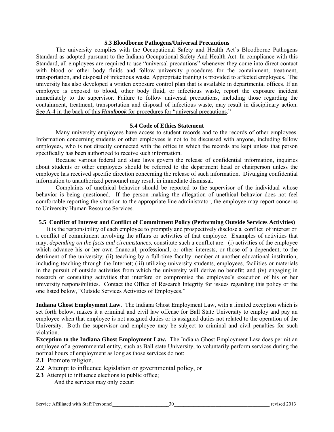#### **5.3 Bloodborne Pathogens/Universal Precautions**

The university complies with the Occupational Safety and Health Act's Bloodborne Pathogens Standard as adopted pursuant to the Indiana Occupational Safety And Health Act. In compliance with this Standard, all employees are required to use "universal precautions" whenever they come into direct contact with blood or other body fluids and follow university procedures for the containment, treatment, transportation, and disposal of infectious waste. Appropriate training is provided to affected employees. The university has also developed a written exposure control plan that is available in departmental offices. If an employee is exposed to blood, other body fluid, or infectious waste, report the exposure incident immediately to the supervisor. Failure to follow universal precautions, including those regarding the containment, treatment, transportation and disposal of infectious waste, may result in disciplinary action. See A-4 in the back of this *Handbook* for procedures for "universal precautions."

#### **5.4 Code of Ethics Statement**

Many university employees have access to student records and to the records of other employees. Information concerning students or other employees is not to be discussed with anyone, including fellow employees, who is not directly connected with the office in which the records are kept unless that person specifically has been authorized to receive such information.

Because various federal and state laws govern the release of confidential information, inquiries about students or other employees should be referred to the department head or chairperson unless the employee has received specific direction concerning the release of such information. Divulging confidential information to unauthorized personnel may result in immediate dismissal.

Complaints of unethical behavior should be reported to the supervisor of the individual whose behavior is being questioned. If the person making the allegation of unethical behavior does not feel comfortable reporting the situation to the appropriate line administrator, the employee may report concerns to University Human Resource Services.

#### **5.5 Conflict of Interest and Conflict of Commitment Policy (Performing Outside Services Activities)**

It is the responsibility of each employee to promptly and prospectively disclose a conflict of interest or a conflict of commitment involving the affairs or activities of that employee. Examples of activities that may, *depending on the facts and circumstances,* constitute such a conflict are: (i) activities of the employee which advance his or her own financial, professional, or other interests, or those of a dependent, to the detriment of the university; (ii) teaching by a full-time faculty member at another educational institution, including teaching through the Internet; (iii) utilizing university students, employees, facilities or materials in the pursuit of outside activities from which the university will derive no benefit; and (iv) engaging in research or consulting activities that interfere or compromise the employee's execution of his or her university responsibilities. Contact the Office of Research Integrity for issues regarding this policy or the one listed below, "Outside Services Activities of Employees."

**Indiana Ghost Employment Law.** The Indiana Ghost Employment Law, with a limited exception which is set forth below, makes it a criminal and civil law offense for Ball State University to employ and pay an employee when that employee is not assigned duties or is assigned duties not related to the operation of the University. B oth the supervisor and employee may be subject to criminal and civil penalties for such violation.

**Exception to the Indiana Ghost Employment Law.** The Indiana Ghost Employment Law does permit an employee of a governmental entity, such as Ball state University, to voluntarily perform services during the normal hours of employment as long as those services do not:

- **2.1** Promote religion.
- **2.2** Attempt to influence legislation or governmental policy, or
- **2.3** Attempt to influence elections to public office;

And the services may only occur: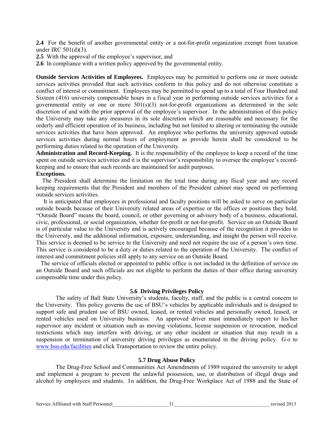**2.4** For the benefit of another governmental entity or a not-for-profit organization exempt from taxation under IRC 501(d)(3).

- **2.5** With the approval of the employee's supervisor, and
- **2.6** In compliance with a written policy approved by the governmental entity.

**Outside Services Activities of Employees.** Employees may be permitted to perform one or more outside services activities provided that such activities conform to this policy and do not otherwise constitute a conflict of interest or commitment. Employees may be permitted to spend up to a total of Four Hundred and Sixteen (416) university compensable hours in a fiscal year in performing outside services activities for a governmental entity or one or more  $501(s)(3)$  not-for-profit organizations as determined in the sole discretion of and with the prior approval of the employee's supervisor. In the administration of this policy the University may take any measures in its sole discretion which are reasonable and necessary for the orderly and efficient operation of its business, including but not limited to altering or terminating the outside services activities that have been approved. An employee who performs the university approved outside services activities during normal hours of employment as provide herein shall be considered to be performing duties related to the operation of the University.

**Administration and Record-Keeping.** It is the responsibility of the employee to keep a record of the time spent on outside services activities and it is the supervisor's responsibility to oversee the employee's recordkeeping and to ensure that such records are maintained for audit purposes.

#### **Exceptions.**

The President shall determine the limitation on the total time during any fiscal year and any record keeping requirements that the President and members of the President cabinet may spend on performing outside services activities.

It is anticipated that employees in professional and faculty positions will be asked to serve on particular outside boards because of their University related areas of expertise or the offices or positions they hold. "Outside Board" means the board, council, or other governing or advisory body of a business, educational, civic, professional, or social organization, whether for-profit or not-for-profit. Service on an Outside Board is of particular value to the University and is actively encouraged because of the recognition it provides to the University, and the additional information, exposure, understanding, and insight the person will receive. This service is deemed to be service to the University and need not require the use of a person's own time. This service is considered to be a duty or duties related to the operation of the University. The conflict of interest and commitment policies still apply to any service on an Outside Board.

 The service of officials elected or appointed to public office is not included in the definition of service on an Outside Board and such officials are not eligible to perform the duties of their office during university compensable time under this policy.

#### **5.6 Driving Privileges Policy**

The safety of Ball State University's students, faculty, staff, and the public is a central concern to the University. This policy governs the use of BSU's vehicles by applicable individuals and is designed to support safe and prudent use of BSU owned, leased, or rented vehicles and personally owned, leased, or rented vehicles used on University business. An approved driver must immediately report to his/her supervisor any incident or situation such as moving violations, license suspension or revocation, medical restrictions which may interfere with driving, or any other incident or situation that may result in a suspension or termination of university driving privileges as enumerated in the driving policy. G o to [www.bsu.edu/facilities](http://www.bsu.edu/facilities) and click Transportation to review the entire policy.

#### **5.7 Drug Abuse Policy**

The Drug-Free School and Communities Act Amendments of 1989 required the university to adopt and implement a program to prevent the unlawful possession, use, or distribution of illegal drugs and alcohol by employees and students. In addition, the Drug-Free Workplace Act of 1988 and the State of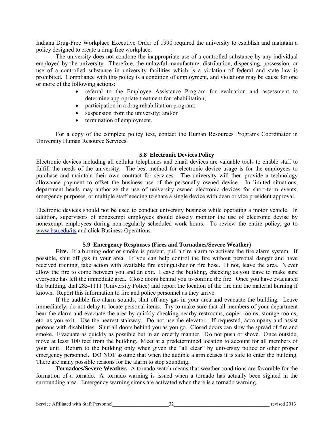Indiana Drug-Free Workplace Executive Order of 1990 required the university to establish and maintain a policy designed to create a drug-free workplace.

The university does not condone the inappropriate use of a controlled substance by any individual employed by the university. Therefore, the unlawful manufacture, distribution, dispensing, possession, or use of a controlled substance in university facilities which is a violation of federal and state law is prohibited. Compliance with this policy is a condition of employment, and violations may be cause for one or more of the following actions:

- referral to the Employee Assistance Program for evaluation and assessment to determine appropriate treatment for rehabilitation;
- participation in a drug rehabilitation program;
- suspension from the university; and/or
- termination of employment.

For a copy of the complete policy text, contact the Human Resources Programs Coordinator in University Human Resource Services.

#### **5.8 Electronic Devices Policy**

Electronic devices including all cellular telephones and email devices are valuable tools to enable staff to fulfill the needs of the university. The best method for electronic device usage is for the employees to purchase and maintain their own contract for services. The university will then provide a technology allowance payment to offset the business use of the personally owned device. In limited situations, department heads may authorize the use of university owned electronic devices for short-term events, emergency purposes, or multiple staff needing to share a single device with dean or vice president approval.

Electronic devices should not be used to conduct university business while operating a motor vehicle. In addition, supervisors of nonexempt employees should closely monitor the use of electronic devise by nonexempt employees during non-regularly scheduled work hours. To review the entire policy, go to [www.bsu.edu/its](http://www.bsu.edu/its) and click Business Operations.

#### **5.9 Emergency Responses (Fires and Tornadoes/Severe Weather)**

Fire. If a burning odor or smoke is present, pull a fire alarm to activate the fire alarm system. If possible, shut off gas in your area. If you can help control the fire without personal danger and have received training, take action with available fire extinguisher or fire hose. If not, leave the area. Never allow the fire to come between you and an exit. Leave the building, checking as you leave to make sure everyone has left the immediate area. Close doors behind you to confine the fire. Once you have evacuated the building, dial 285-1111 (University Police) and report the location of the fire and the material burning if known. Report this information to fire and police personnel as they arrive.

If the audible fire alarm sounds, shut off any gas in your area and evacuate the building. Leave immediately; do not delay to locate personal items. Try to make sure that all members of your department hear the alarm and evacuate the area by quickly checking nearby restrooms, copier rooms, storage rooms, etc. as you exit. Use the nearest stairway. Do not use the elevator. If requested, accompany and assist persons with disabilities. Shut all doors behind you as you go. Closed doors can slow the spread of fire and smoke. Evacuate as quickly as possible but in an orderly manner. Do not push or shove. Once outside, move at least 100 feet from the building. Meet at a predetermined location to account for all members of your unit. Return to the building only when given the "all clear" by university police or other proper emergency personnel. DO NOT assume that when the audible alarm ceases it is safe to enter the building. There are many possible reasons for the alarm to stop sounding.

**Tornadoes/Severe Weather.** A tornado watch means that weather conditions are favorable for the formation of a tornado. A tornado warning is issued when a tornado has actually been sighted in the surrounding area. Emergency warning sirens are activated when there is a tornado warning.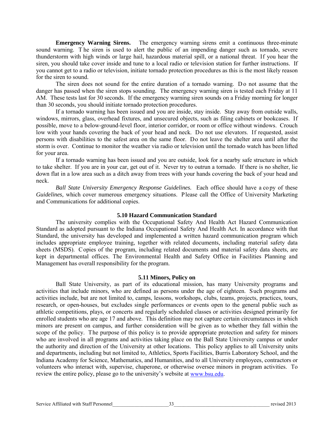**Emergency Warning Sirens.** The emergency warning sirens emit a continuous three-minute sound warning. T he siren is used to alert the public of an impending danger such as tornado, severe thunderstorm with high winds or large hail, hazardous material spill, or a national threat. If you hear the siren, you should take cover inside and tune to a local radio or television station for further instructions. If you cannot get to a radio or television, initiate tornado protection procedures as this is the most likely reason for the siren to sound.

The siren does not sound for the entire duration of a tornado warning. Do not assume that the danger has passed when the siren stops sounding. The emergency warning siren is tested each Friday at 11 AM. These tests last for 30 seconds. If the emergency warning siren sounds on a Friday morning for longer than 30 seconds, you should initiate tornado protection procedures.

If a tornado warning has been issued and you are inside, stay inside. Stay away from outside walls, windows, mirrors, glass, overhead fixtures, and unsecured objects, such as filing cabinets or bookcases. If possible, move to a below-ground-level floor, interior corridor, or room or office without windows. Crouch low with your hands covering the back of your head and neck. Do not use elevators. If requested, assist persons with disabilities to the safest area on the same floor. Do not leave the shelter area until after the storm is over. Continue to monitor the weather via radio or television until the tornado watch has been lifted for your area.

If a tornado warning has been issued and you are outside, look for a nearby safe structure in which to take shelter. If you are in your car, get out of it. Never try to outrun a tornado. If there is no shelter, lie down flat in a low area such as a ditch away from trees with your hands covering the back of your head and neck.

Ball State University Emergency Response Guidelines. Each office should have a copy of these *Guidelines,* which cover numerous emergency situations. Please call the Office of University Marketing and Communications for additional copies.

#### **5.10 Hazard Communication Standard**

The university complies with the Occupational Safety And Health Act Hazard Communication Standard as adopted pursuant to the Indiana Occupational Safety And Health Act. In accordance with that Standard, the university has developed and implemented a written hazard communication program which includes appropriate employee training, together with related documents, including material safety data sheets (MSDS). Copies of the program, including related documents and material safety data sheets, are kept in departmental offices. The Environmental Health and Safety Office in Facilities Planning and Management has overall responsibility for the program.

#### **5.11 Minors, Policy on**

Ball State University, as part of its educational mission, has many University programs and activities that include minors, who are defined as persons under the age of eighteen. Such programs and activities include, but are not limited to, camps, lessons, workshops, clubs, teams, projects, practices, tours, research, or open-houses, but excludes single performances or events open to the general public such as athletic competitions, plays, or concerts and regularly scheduled classes or activities designed primarily for enrolled students who are age 17 and above. This definition may not capture certain circumstances in which minors are present on campus, and further consideration will be given as to whether they fall within the scope of the policy. The purpose of this policy is to provide appropriate protection and safety for minors who are involved in all programs and activities taking place on the Ball State University campus or under the authority and direction of the University at other locations. This policy applies to all University units and departments, including but not limited to, Athletics, Sports Facilities, Burris Laboratory School, and the Indiana Academy for Science, Mathematics, and Humanities, and to all University employees, contractors or volunteers who interact with, supervise, chaperone, or otherwise oversee minors in program activities. To review the entire policy, please go to the university's website at [www.bsu.edu.](http://www.bsu.edu/)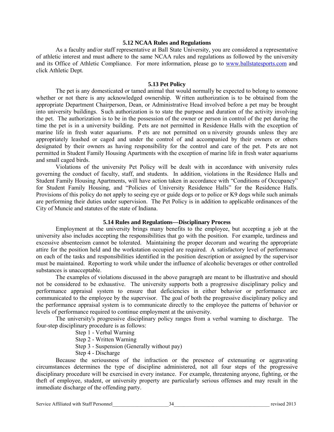#### **5.12 NCAA Rules and Regulations**

As a faculty and/or staff representative at Ball State University, you are considered a representative of athletic interest and must adhere to the same NCAA rules and regulations as followed by the university and its Office of Athletic Compliance. For more information, please go to [www.ballstatesports.com](http://www.ballstatesports.com/) and click Athletic Dept.

#### **5.13 Pet Policy**

The pet is any domesticated or tamed animal that would normally be expected to belong to someone whether or not there is any acknowledged ownership. W ritten authorization is to be obtained from the appropriate Department Chairperson, Dean, or Administrative Head involved before a pet may be brought into university buildings. Such authorization is to state the purpose and duration of the activity involving the pet. The authorization is to be in the possession of the owner or person in control of the pet during the time the pet is in a university building. Pets are not permitted in Residence Halls with the exception of marine life in fresh water aquariums. P ets are not permitted on u niversity grounds unless they are appropriately leashed or caged and under the control of and accompanied by their owners or others designated by their owners as having responsibility for the control and care of the pet. P ets are not permitted in Student Family Housing Apartments with the exception of marine life in fresh water aquariums and small caged birds.

Violations of the university Pet Policy will be dealt with in accordance with university rules governing the conduct of faculty, staff, and students. In addition, violations in the Residence Halls and Student Family Housing Apartments, will have action taken in accordance with "Conditions of Occupancy" for Student Family Housing, and "Policies of University Residence Halls" for the Residence Halls. Provisions of this policy do not apply to seeing eye or guide dogs or to police or K9 dogs while such animals are performing their duties under supervision. The Pet Policy is in addition to applicable ordinances of the City of Muncie and statutes of the state of Indiana.

#### **5.14 Rules and Regulations—Disciplinary Process**

Employment at the university brings many benefits to the employee, but accepting a job at the university also includes accepting the responsibilities that go with the position. For example, tardiness and excessive absenteeism cannot be tolerated. Maintaining the proper decorum and wearing the appropriate attire for the position held and the workstation occupied are required. A satisfactory level of performance on each of the tasks and responsibilities identified in the position description or assigned by the supervisor must be maintained. Reporting to work while under the influence of alcoholic beverages or other controlled substances is unacceptable.

The examples of violations discussed in the above paragraph are meant to be illustrative and should not be considered to be exhaustive. The university supports both a progressive disciplinary policy and performance appraisal system to ensure that deficiencies in either behavior or performance are communicated to the employee by the supervisor. The goal of both the progressive disciplinary policy and the performance appraisal system is to communicate directly to the employee the patterns of behavior or levels of performance required to continue employment at the university.

The university's progressive disciplinary policy ranges from a verbal warning to discharge. The four-step disciplinary procedure is as follows:

- Step 1 Verbal Warning
- Step 2 Written Warning
- Step 3 Suspension (Generally without pay)
- Step 4 Discharge

Because the seriousness of the infraction or the presence of extenuating or aggravating circumstances determines the type of discipline administered, not all four steps of the progressive disciplinary procedure will be exercised in every instance. For example, threatening anyone, fighting, or the theft of employee, student, or university property are particularly serious offenses and may result in the immediate discharge of the offending party.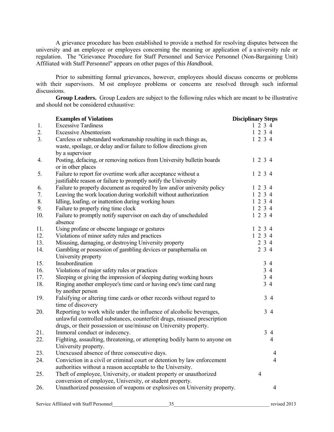A grievance procedure has been established to provide a method for resolving disputes between the university and an employee or employees concerning the meaning or application of a u niversity rule or regulation. The "Grievance Procedure for Staff Personnel and Service Personnel (Non-Bargaining Unit) Affiliated with Staff Personnel" appears on other pages of this *Handbook*.

Prior to submitting formal grievances, however, employees should discuss concerns or problems with their supervisors. M ost employee problems or concerns are resolved through such informal discussions.

**Group Leaders.** Group Leaders are subject to the following rules which are meant to be illustrative and should not be considered exhaustive:

|                  | <b>Examples of Violations</b>                                                                                                                                                                                      | <b>Disciplinary Steps</b> |
|------------------|--------------------------------------------------------------------------------------------------------------------------------------------------------------------------------------------------------------------|---------------------------|
| 1.               | <b>Excessive Tardiness</b>                                                                                                                                                                                         | 1234                      |
| 2.               | <b>Excessive Absenteeism</b>                                                                                                                                                                                       | 1234                      |
| 3 <sub>1</sub>   | Careless or substandard workmanship resulting in such things as,<br>waste, spoilage, or delay and/or failure to follow directions given                                                                            | 1 2 3 4                   |
| $\overline{4}$ . | by a supervisor<br>Posting, defacing, or removing notices from University bulletin boards<br>or in other places                                                                                                    | 1 2 3 4                   |
| 5.               | Failure to report for overtime work after acceptance without a<br>justifiable reason or failure to promptly notify the University                                                                                  | 1234                      |
| 6.               | Failure to properly document as required by law and/or university policy                                                                                                                                           | 1234                      |
| 7.               | Leaving the work location during workshift without authorization                                                                                                                                                   | 1 2 3 4                   |
| 8.               | Idling, loafing, or inattention during working hours                                                                                                                                                               | 1 2 3 4                   |
| 9.               | Failure to properly ring time clock                                                                                                                                                                                | 1 2 3 4                   |
| 10.              | Failure to promptly notify supervisor on each day of unscheduled<br>absence                                                                                                                                        | 1 2 3 4                   |
| 11.              | Using profane or obscene language or gestures                                                                                                                                                                      | 1234                      |
| 12.              | Violations of minor safety rules and practices                                                                                                                                                                     | 1 2 3 4                   |
| 13.              | Misusing, damaging, or destroying University property                                                                                                                                                              | 2 3 4                     |
| 14.              | Gambling or possession of gambling devices or paraphernalia on<br>University property                                                                                                                              | 2 3 4                     |
| 15.              | Insubordination                                                                                                                                                                                                    | 34                        |
| 16.              | Violations of major safety rules or practices                                                                                                                                                                      | $3\overline{4}$           |
| 17.              | Sleeping or giving the impression of sleeping during working hours                                                                                                                                                 | $3\,4$                    |
| 18.              | Ringing another employee's time card or having one's time card rang<br>by another person                                                                                                                           | $3\overline{4}$           |
| 19.              | Falsifying or altering time cards or other records without regard to<br>time of discovery                                                                                                                          | 34                        |
| 20.              | Reporting to work while under the influence of alcoholic beverages,<br>unlawful controlled substances, counterfeit drugs, misused prescription<br>drugs, or their possession or use/misuse on University property. | $3\overline{4}$           |
| 21.              | Immoral conduct or indecency.                                                                                                                                                                                      | $3\quad4$                 |
| 22.              | Fighting, assaulting, threatening, or attempting bodily harm to anyone on<br>University property.                                                                                                                  | $\overline{4}$            |
| 23.              | Unexcused absence of three consecutive days.                                                                                                                                                                       | 4                         |
| 24.              | Conviction in a civil or criminal court or detention by law enforcement<br>authorities without a reason acceptable to the University.                                                                              | $\overline{4}$            |
| 25.              | Theft of employee, University, or student property or unauthorized<br>conversion of employee, University, or student property.                                                                                     | $\overline{4}$            |
| 26.              | Unauthorized possession of weapons or explosives on University property.                                                                                                                                           | 4                         |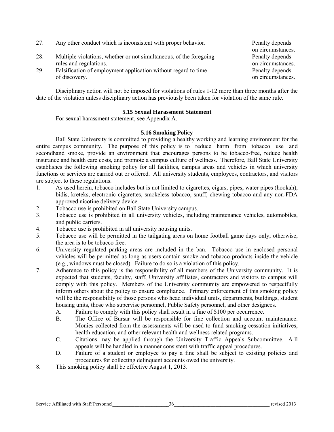| 27. | Any other conduct which is inconsistent with proper behavior.      | Penalty depends   |
|-----|--------------------------------------------------------------------|-------------------|
|     |                                                                    | on circumstances. |
| 28. | Multiple violations, whether or not simultaneous, of the foregoing | Penalty depends   |
|     | rules and regulations.                                             | on circumstances. |
| 29. | Falsification of employment application without regard to time     | Penalty depends   |
|     | of discovery.                                                      | on circumstances. |

Disciplinary action will not be imposed for violations of rules 1-12 more than three months after the date of the violation unless disciplinary action has previously been taken for violation of the same rule.

#### **5.15 Sexual Harassment Statement**

For sexual harassment statement, see Appendix A.

#### **5.16 Smoking Policy**

Ball State University is committed to providing a healthy working and learning environment for the entire campus community. The purpose of this policy is to reduce harm from tobacco use and secondhand smoke, provide an environment that encourages persons to be tobacco-free, reduce health insurance and health care costs, and promote a campus culture of wellness. Therefore, Ball State University establishes the following smoking policy for all facilities, campus areas and vehicles in which university functions or services are carried out or offered. All university students, employees, contractors, and visitors are subject to these regulations.

- 1. As used herein, tobacco includes but is not limited to cigarettes, cigars, pipes, water pipes (hookah), bidis, kreteks, electronic cigarettes, smokeless tobacco, snuff, chewing tobacco and any non-FDA approved nicotine delivery device.
- 2. Tobacco use is prohibited on Ball State University campus.
- 3. Tobacco use is prohibited in all university vehicles, including maintenance vehicles, automobiles, and public carriers.
- 4. Tobacco use is prohibited in all university housing units.
- 5. Tobacco use will be permitted in the tailgating areas on home football game days only; otherwise, the area is to be tobacco free.
- 6. University regulated parking areas are included in the ban. Tobacco use in enclosed personal vehicles will be permitted as long as users contain smoke and tobacco products inside the vehicle (e.g., windows must be closed). Failure to do so is a violation of this policy.
- 7. Adherence to this policy is the responsibility of all members of the University community. It is expected that students, faculty, staff, University affiliates, contractors and visitors to campus will comply with this policy. Members of the University community are empowered to respectfully inform others about the policy to ensure compliance. Primary enforcement of this smoking policy will be the responsibility of those persons who head individual units, departments, buildings, student housing units, those who supervise personnel, Public Safety personnel, and other designees.
	- A. Failure to comply with this policy shall result in a fine of \$100 per occurrence.
	- B. The Office of Bursar will be responsible for fine collection and account maintenance. Monies collected from the assessments will be used to fund smoking cessation initiatives, health education, and other relevant health and wellness related programs.
	- C. Citations may be applied through the University Traffic Appeals Subcommittee. A ll appeals will be handled in a manner consistent with traffic appeal procedures.
	- D. Failure of a student or employee to pay a fine shall be subject to existing policies and procedures for collecting delinquent accounts owed the university.
- 8. This smoking policy shall be effective August 1, 2013.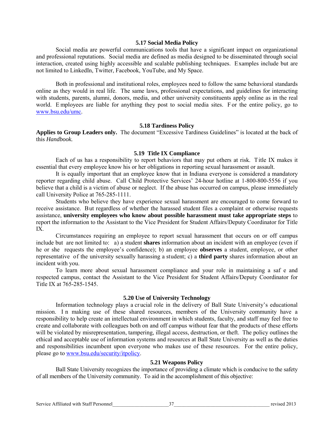#### **5.17 Social Media Policy**

Social media are powerful communications tools that have a significant impact on organizational and professional reputations. Social media are defined as media designed to be disseminated through social interaction, created using highly accessible and scalable publishing techniques. Examples include but are not limited to LinkedIn, Twitter, Facebook, YouTube, and My Space.

Both in professional and institutional roles, employees need to follow the same behavioral standards online as they would in real life. The same laws, professional expectations, and guidelines for interacting with students, parents, alumni, donors, media, and other university constituents apply online as in the real world. E mployees are liable for anything they post to social media sites. F or the entire policy, go to [www.bsu.edu/umc.](http://www.bsu.edu/umc)

#### **5.18 Tardiness Policy**

**Applies to Group Leaders only.** The document "Excessive Tardiness Guidelines" is located at the back of this *Handbook.*

#### **5.19 Title IX Compliance**

Each of us has a responsibility to report behaviors that may put others at risk. Title IX makes it essential that every employee know his or her obligations in reporting sexual harassment or assault.

It is equally important that an employee know that in Indiana everyone is considered a mandatory reporter regarding child abuse. Call Child Protective Services' 24-hour hotline at 1-800-800-5556 if you believe that a child is a victim of abuse or neglect. If the abuse has occurred on campus, please immediately call University Police at 765-285-1111.

Students who believe they have experience sexual harassment are encouraged to come forward to receive assistance. But regardless of whether the harassed student files a complaint or otherwise requests assistance, **university employees who know about possible harassment must take appropriate steps** to report the information to the Assistant to the Vice President for Student Affairs/Deputy Coordinator for Title IX.

Circumstances requiring an employee to report sexual harassment that occurs on or off campus include but are not limited to: a) a student **shares** information about an incident with an employee (even if he or she requests the employee's confidence); b) an employee **observes** a student, employee, or other representative of the university sexually harassing a student; c) a **third party** shares information about an incident with you.

To learn more about sexual harassment compliance and your role in maintaining a saf e and respected campus, contact the Assistant to the Vice President for Student Affairs/Deputy Coordinator for Title IX at 765-285-1545.

#### **5.20 Use of University Technology**

 Information technology plays a cr ucial role in the delivery of Ball State University's educational mission. I n making use of these shared resources, members of the University community have a responsibility to help create an intellectual environment in which students, faculty, and staff may feel free to create and collaborate with colleagues both on and off campus without fear that the products of these efforts will be violated by misrepresentation, tampering, illegal access, destruction, or theft. The policy outlines the ethical and acceptable use of information systems and resources at Ball State University as well as the duties and responsibilities incumbent upon everyone who makes use of these resources. For the entire policy, please go to [www.bsu.edu/security/itpolicy.](http://www.bsu.edu/security/itpolicy)

#### **5.21 Weapons Policy**

Ball State University recognizes the importance of providing a climate which is conducive to the safety of all members of the University community. To aid in the accomplishment of this objective: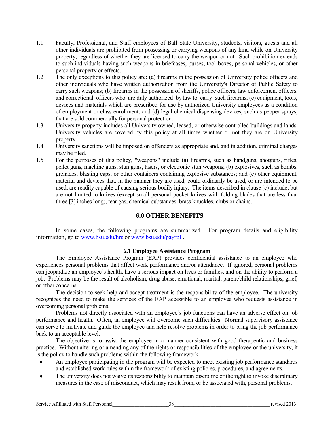- 1.1 Faculty, Professional, and Staff employees of Ball State University, students, visitors, guests and all other individuals are prohibited from possessing or carrying weapons of any kind while on University property, regardless of whether they are licensed to carry the weapon or not. Such prohibition extends to such individuals having such weapons in briefcases, purses, tool boxes, personal vehicles, or other personal property or effects.
- 1.2 The only exceptions to this policy are: (a) firearms in the possession of University police officers and other individuals who have written authorization from the University's Director of Public Safety to carry such weapons; (b) firearms in the possession of sheriffs, police officers, law enforcement officers, and correctional officers who are duly authorized by law to carry such firearms; (c) equipment, tools, devices and materials which are prescribed for use by authorized University employees as a condition of employment or class enrollment; and (d) legal chemical dispensing devices, such as pepper sprays, that are sold commercially for personal protection.
- 1.3 University property includes all University owned, leased, or otherwise controlled buildings and lands. University vehicles are covered by this policy at all times whether or not they are on University property.
- 1.4 University sanctions will be imposed on offenders as appropriate and, and in addition, criminal charges may be filed.
- 1.5 For the purposes of this policy, "weapons" include (a) firearms, such as handguns, shotguns, rifles, pellet guns, machine guns, stun guns, tasers, or electronic stun weapons; (b) explosives, such as bombs, grenades, blasting caps, or other containers containing explosive substances; and (c) other equipment, material and devices that, in the manner they are used, could ordinarily be used, or are intended to be used, are readily capable of causing serious bodily injury. The items described in clause (c) include, but are not limited to knives (except small personal pocket knives with folding blades that are less than three [3] inches long), tear gas, chemical substances, brass knuckles, clubs or chains.

# **6.0 OTHER BENEFITS**

In some cases, the following programs are summarized. For program details and eligibility information, go t[o www.bsu.edu/hrs](http://www.bsu.edu/hrs) or [www.bsu.edu/payroll.](http://www.bsu.edu/payroll)

#### **6.1 Employee Assistance Program**

The Employee Assistance Program (EAP) provides confidential assistance to an employee who experiences personal problems that affect work performance and/or attendance. If ignored, personal problems can jeopardize an employee's health, have a serious impact on lives or families, and on the ability to perform a job. Problems may be the result of alcoholism, drug abuse, emotional, marital, parent/child relationships, grief, or other concerns.

The decision to seek help and accept treatment is the responsibility of the employee. The university recognizes the need to make the services of the EAP accessible to an employee who requests assistance in overcoming personal problems.

Problems not directly associated with an employee's job functions can have an adverse effect on job performance and health. Often, an employee will overcome such difficulties. Normal supervisory assistance can serve to motivate and guide the employee and help resolve problems in order to bring the job performance back to an acceptable level.

The objective is to assist the employee in a manner consistent with good therapeutic and business practice. Without altering or amending any of the rights or responsibilities of the employee or the university, it is the policy to handle such problems within the following framework:

- An employee participating in the program will be expected to meet existing job performance standards and established work rules within the framework of existing policies, procedures, and agreements.
- ♦ The university does not waive its responsibility to maintain discipline or the right to invoke disciplinary measures in the case of misconduct, which may result from, or be associated with, personal problems.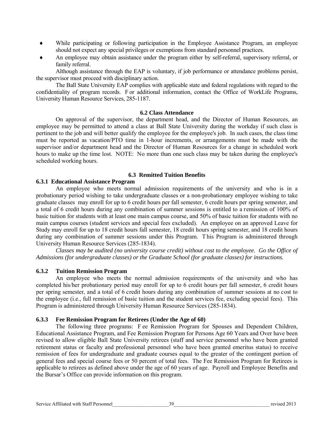- ♦ While participating or following participation in the Employee Assistance Program, an employee should not expect any special privileges or exemptions from standard personnel practices.
- ♦ An employee may obtain assistance under the program either by self-referral, supervisory referral, or family referral.

Although assistance through the EAP is voluntary, if job performance or attendance problems persist, the supervisor must proceed with disciplinary action.

The Ball State University EAP complies with applicable state and federal regulations with regard to the confidentiality of program records. F or additional information, contact the Office of WorkLife Programs, University Human Resource Services, 285-1187.

#### **6.2 Class Attendance**

On approval of the supervisor, the department head, and the Director of Human Resources, an employee may be permitted to attend a class at Ball State University during the workday if such class is pertinent to the job and will better qualify the employee for the employee's job. In such cases, the class time must be reported as vacation/PTO time in 1-hour increments, or arrangements must be made with the supervisor and/or department head and the Director of Human Resources for a change in scheduled work hours to make up the time lost. NOTE: No more than one such class may be taken during the employee's scheduled working hours.

#### **6.3 Remitted Tuition Benefits**

#### **6.3.1 Educational Assistance Program**

An employee who meets normal admission requirements of the university and who is in a probationary period wishing to take undergraduate classes or a non-probationary employee wishing to take graduate classes may enroll for up to 6 credit hours per fall semester, 6 credit hours per spring semester, and a total of 6 credit hours during any combination of summer sessions is entitled to a remission of 100% of basic tuition for students with at least one main campus course, and 50% of basic tuition for students with no main campus courses (student services and special fees excluded). An employee on an approved Leave for Study may enroll for up to 18 credit hours fall semester, 18 credit hours spring semester, and 18 credit hours during any combination of summer sessions under this Program. T his Program is administered through University Human Resource Services (285-1834).

*Classes may be audited (no university course credit) without cost to the employee. Go the Office of Admissions (for undergraduate classes) or the Graduate School (for graduate classes) for instructions.* 

#### **6.3.2 Tuition Remission Program**

An employee who meets the normal admission requirements of the university and who has completed his/her probationary period may enroll for up to 6 credit hours per fall semester, 6 credit hours per spring semester, and a total of 6 credit hours during any combination of summer sessions at no cost to the employee (i.e., full remission of basic tuition and the student services fee, excluding special fees). This Program is administered through University Human Resource Services (285-1834).

#### **6.3.3 Fee Remission Program for Retirees (Under the Age of 60)**

The following three programs: F ee Remission Program for Spouses and Dependent Children, Educational Assistance Program, and Fee Remission Program for Persons Age 60 Years and Over have been revised to allow eligible Ball State University retirees (staff and service personnel who have been granted retirement status or faculty and professional personnel who have been granted emeritus status) to receive remission of fees for undergraduate and graduate courses equal to the greater of the contingent portion of general fees and special course fees or 50 percent of total fees. The Fee Remission Program for Retirees is applicable to retirees as defined above under the age of 60 years of age. Payroll and Employee Benefits and the Bursar's Office can provide information on this program.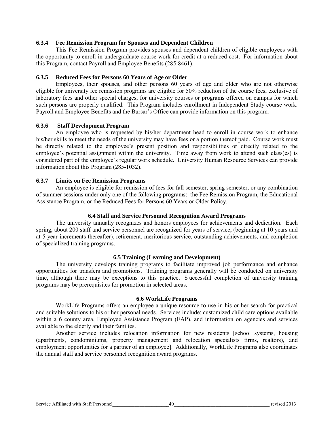#### **6.3.4 Fee Remission Program for Spouses and Dependent Children**

This Fee Remission Program provides spouses and dependent children of eligible employees with the opportunity to enroll in undergraduate course work for credit at a reduced cost. For information about this Program, contact Payroll and Employee Benefits (285-8461).

#### **6.3.5 Reduced Fees for Persons 60 Years of Age or Older**

Employees, their spouses, and other persons 60 years of age and older who are not otherwise eligible for university fee remission programs are eligible for 50% reduction of the course fees, exclusive of laboratory fees and other special charges, for university courses or programs offered on campus for which such persons are properly qualified. This Program includes enrollment in Independent Study course work. Payroll and Employee Benefits and the Bursar's Office can provide information on this program.

#### **6.3.6 Staff Development Program**

An employee who is requested by his/her department head to enroll in course work to enhance his/her skills to meet the needs of the university may have fees or a portion thereof paid. Course work must be directly related to the employee's present position and responsibilities or directly related to the employee's potential assignment within the university. Time away from work to attend such class(es) is considered part of the employee's regular work schedule. University Human Resource Services can provide information about this Program (285-1032).

#### **6.3.7 Limits on Fee Remission Programs**

An employee is eligible for remission of fees for fall semester, spring semester, or any combination of summer sessions under only one of the following programs: the Fee Remission Program, the Educational Assistance Program, or the Reduced Fees for Persons 60 Years or Older Policy.

#### **6.4 Staff and Service Personnel Recognition Award Programs**

The university annually recognizes and honors employees for achievements and dedication. Each spring, about 200 staff and service personnel are recognized for years of service, (beginning at 10 years and at 5-year increments thereafter), retirement, meritorious service, outstanding achievements, and completion of specialized training programs.

#### **6.5 Training (Learning and Development)**

The university develops training programs to facilitate improved job performance and enhance opportunities for transfers and promotions. Training programs generally will be conducted on university time, although there may be exceptions to this practice. S uccessful completion of university training programs may be prerequisites for promotion in selected areas.

#### **6.6 WorkLife Programs**

WorkLife Programs offers an employee a unique resource to use in his or her search for practical and suitable solutions to his or her personal needs. Services include: customized child care options available within a 6 county area, Employee Assistance Program (EAP), and information on agencies and services available to the elderly and their families.

 Another service includes relocation information for new residents [school systems, housing (apartments, condominiums, property management and relocation specialists firms, realtors), and employment opportunities for a partner of an employee]. Additionally, WorkLife Programs also coordinates the annual staff and service personnel recognition award programs.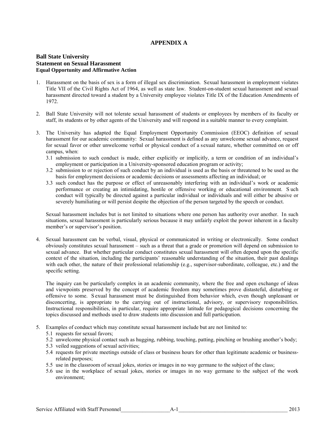#### **APPENDIX A**

#### **Ball State University Statement on Sexual Harassment Equal Opportunity and Affirmative Action**

- 1. Harassment on the basis of sex is a form of illegal sex discrimination. Sexual harassment in employment violates Title VII of the Civil Rights Act of 1964, as well as state law. Student-on-student sexual harassment and sexual harassment directed toward a student by a University employee violates Title IX of the Education Amendments of 1972.
- 2. Ball State University will not tolerate sexual harassment of students or employees by members of its faculty or staff, its students or by other agents of the University and will respond in a suitable manner to every complaint.
- 3. The University has adapted the Equal Employment Opportunity Commission (EEOC) definition of sexual harassment for our academic community: Sexual harassment is defined as any unwelcome sexual advance, request for sexual favor or other unwelcome verbal or physical conduct of a sexual nature, whether committed on or off campus, when:
	- 3.1 submission to such conduct is made, either explicitly or implicitly, a term or condition of an individual's employment or participation in a University-sponsored education program or activity;
	- 3.2 submission to or rejection of such conduct by an individual is used as the basis or threatened to be used as the basis for employment decisions or academic decisions or assessments affecting an individual; or
	- 3.3 such conduct has the purpose or effect of unreasonably interfering with an individual's work or academic performance or creating an intimidating, hostile or offensive working or educational environment. S uch conduct will typically be directed against a particular individual or individuals and will either be abusive or severely humiliating or will persist despite the objection of the person targeted by the speech or conduct.

Sexual harassment includes but is not limited to situations where one person has authority over another. In such situations, sexual harassment is particularly serious because it may unfairly exploit the power inherent in a faculty member's or supervisor's position.

4. Sexual harassment can be verbal, visual, physical or communicated in writing or electronically. Some conduct obviously constitutes sexual harassment – such as a threat that a grade or promotion will depend on submission to sexual advance. But whether particular conduct constitutes sexual harassment will often depend upon the specific context of the situation, including the participants' reasonable understanding of the situation, their past dealings with each other, the nature of their professional relationship (e.g., supervisor-subordinate, colleague, etc.) and the specific setting.

The inquiry can be particularly complex in an academic community, where the free and open exchange of ideas and viewpoints preserved by the concept of academic freedom may sometimes prove distasteful, disturbing or offensive to some. S exual harassment must be distinguished from behavior which, even though unpleasant or disconcerting, is appropriate to the carrying out of instructional, advisory, or supervisory responsibilities. Instructional responsibilities, in particular, require appropriate latitude for pedagogical decisions concerning the topics discussed and methods used to draw students into discussion and full participation.

- 5. Examples of conduct which may constitute sexual harassment include but are not limited to:
	- 5.1 requests for sexual favors;
	- 5.2 unwelcome physical contact such as hugging, rubbing, touching, patting, pinching or brushing another's body;
	- 5.3 veiled suggestions of sexual activities;
	- 5.4 requests for private meetings outside of class or business hours for other than legitimate academic or businessrelated purposes;
	- 5.5 use in the classroom of sexual jokes, stories or images in no way germane to the subject of the class;
	- 5.6 use in the workplace of sexual jokes, stories or images in no way germane to the subject of the work environment;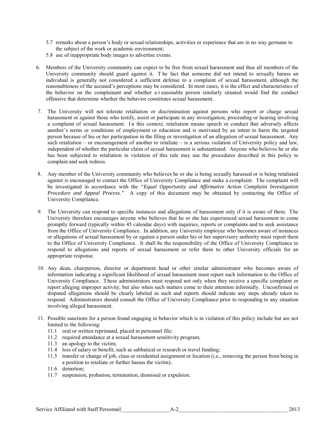- 5.7 remarks about a person's body or sexual relationships, activities or experience that are in no way germane to the subject of the work or academic environment;
- 5.8 use of inappropriate body images to advertise events.
- 6. Members of the University community can expect to be free from sexual harassment and thus all members of the University community should guard against it. T he fact that someone did not intend to sexually harass an individual is generally not considered a sufficient defense to a complaint of sexual harassment, although the reasonableness of the accused's perceptions may be considered. In most cases, it is the effect and characteristics of the behavior on the complainant and whether a r easonable person similarly situated would find the conduct offensive that determine whether the behavior constitutes sexual harassment.
- 7. The University will not tolerate retaliation or discrimination against persons who report or charge sexual harassment or against those who testify, assist or participate in any investigation, proceeding or hearing involving a complaint of sexual harassment. In this context, retaliation means speech or conduct that adversely affects another's terms or conditions of employment or education and is motivated by an intent to harm the targeted person because of his or her participation in the filing or investigation of an allegation of sexual harassment. Any such retaliation – or encouragement of another to retaliate – is a serious violation of University policy and law, independent of whether the particular claim of sexual harassment is substantiated. Anyone who believes he or she has been subjected to retaliation in violation of this rule may use the procedures described in this policy to complain and seek redress.
- 8. Any member of the University community who believes he or she is being sexually harassed or is being retaliated against is encouraged to contact the Office of University Compliance and make a complaint. The complaint will be investigated in accordance with the *"Equal Opportunity and Affirmative Action Complaint Investigation Procedure and Appeal Process.*" A copy of this document may be obtained by contacting the Office of University Compliance.
- 9. The University can respond to specific instances and allegations of harassment only if it is aware of them. The University therefore encourages anyone who believes that he or she has experienced sexual harassment to come promptly forward (typically within 45 calendar days) with inquiries, reports or complaints and to seek assistance from the Office of University Compliance. In addition, any University employee who becomes aware of instances or allegations of sexual harassment by or against a person under his or her supervisory authority must report them to the Office of University Compliance. It shall be the responsibility of the Office of University Compliance to respond to allegations and reports of sexual harassment or refer them to other University officials for an appropriate response.
- 10. Any dean, chairperson, director or department head or other similar administrator who becomes aware of information indicating a significant likelihood of sexual harassment must report such information to the Office of University Compliance. These administrators must respond not only when they receive a specific complaint or report alleging improper activity, but also when such matters come to their attention informally. Unconfirmed or disputed allegations should be clearly labeled as such and reports should indicate any steps already taken to respond. Administrators should consult the Office of University Compliance prior to responding to any situation involving alleged harassment.
- 11. Possible sanctions for a person found engaging in behavior which is in violation of this policy include but are not limited to the following:
	- 11.1 oral or written reprimand, placed in personnel file;
	- 11.2 required attendance at a sexual harassment sensitivity program;
	- 11.3 an apology to the victim;
	- 11.4 loss of salary or benefit, such as sabbatical or research or travel funding;
	- 11.5 transfer or change of job, class or residential assignment or location (i.e., removing the person from being in a position to retaliate or further harass the victim);
	- 11.6 demotion;
	- 11.7 suspension, probation, termination, dismissal or expulsion.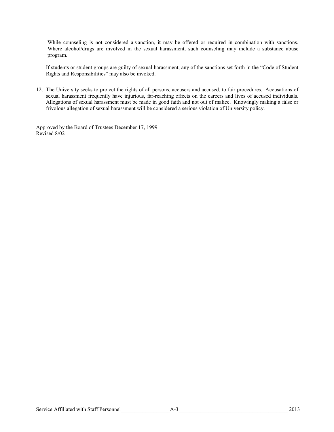While counseling is not considered a s anction, it may be offered or required in combination with sanctions. Where alcohol/drugs are involved in the sexual harassment, such counseling may include a substance abuse program.

If students or student groups are guilty of sexual harassment, any of the sanctions set forth in the "Code of Student Rights and Responsibilities" may also be invoked.

12. The University seeks to protect the rights of all persons, accusers and accused, to fair procedures. Accusations of sexual harassment frequently have injurious, far-reaching effects on the careers and lives of accused individuals. Allegations of sexual harassment must be made in good faith and not out of malice. Knowingly making a false or frivolous allegation of sexual harassment will be considered a serious violation of University policy.

Approved by the Board of Trustees December 17, 1999 Revised 8/02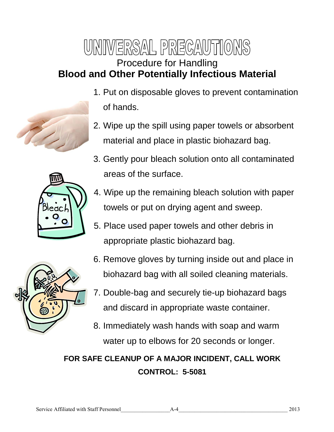# WNIWERSAL PRECAUTIONS Procedure for Handling **Blood and Other Potentially Infectious Material**

- 1. Put on disposable gloves to prevent contamination of hands.
	- 2. Wipe up the spill using paper towels or absorbent material and place in plastic biohazard bag.
	- 3. Gently pour bleach solution onto all contaminated areas of the surface.



- 4. Wipe up the remaining bleach solution with paper towels or put on drying agent and sweep.
- 5. Place used paper towels and other debris in appropriate plastic biohazard bag.



- 6. Remove gloves by turning inside out and place in biohazard bag with all soiled cleaning materials.
- 7. Double-bag and securely tie-up biohazard bags and discard in appropriate waste container.
- 8. Immediately wash hands with soap and warm water up to elbows for 20 seconds or longer.

# **FOR SAFE CLEANUP OF A MAJOR INCIDENT, CALL WORK CONTROL: 5-5081**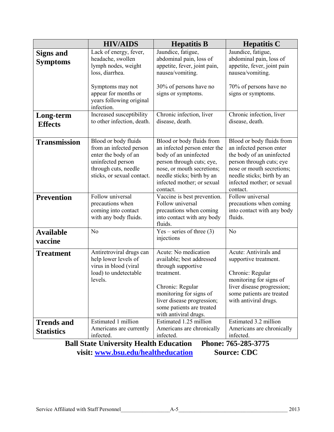|                                        | <b>HIV/AIDS</b>                                                                                                                                    | <b>Hepatitis B</b>                                                                                                                                                                                                       | <b>Hepatitis C</b>                                                                                                                                                                                                  |
|----------------------------------------|----------------------------------------------------------------------------------------------------------------------------------------------------|--------------------------------------------------------------------------------------------------------------------------------------------------------------------------------------------------------------------------|---------------------------------------------------------------------------------------------------------------------------------------------------------------------------------------------------------------------|
| <b>Signs and</b><br><b>Symptoms</b>    | Lack of energy, fever,<br>headache, swollen<br>lymph nodes, weight<br>loss, diarrhea.                                                              | Jaundice, fatigue,<br>abdominal pain, loss of<br>appetite, fever, joint pain,<br>nausea/vomiting.                                                                                                                        | Jaundice, fatigue,<br>abdominal pain, loss of<br>appetite, fever, joint pain<br>nausea/vomiting.                                                                                                                    |
|                                        | Symptoms may not<br>appear for months or<br>years following original<br>infection.                                                                 | 30% of persons have no<br>signs or symptoms.                                                                                                                                                                             | 70% of persons have no<br>signs or symptoms.                                                                                                                                                                        |
| Long-term<br><b>Effects</b>            | Increased susceptibility<br>to other infection, death.                                                                                             | Chronic infection, liver<br>disease, death.                                                                                                                                                                              | Chronic infection, liver<br>disease, death.                                                                                                                                                                         |
| <b>Transmission</b>                    | Blood or body fluids<br>from an infected person<br>enter the body of an<br>uninfected person<br>through cuts, needle<br>sticks, or sexual contact. | Blood or body fluids from<br>an infected person enter the<br>body of an uninfected<br>person through cuts; eye,<br>nose, or mouth secretions;<br>needle sticks; birth by an<br>infected mother; or sexual<br>contact.    | Blood or body fluids from<br>an infected person enter<br>the body of an uninfected<br>person through cuts; eye<br>nose or mouth secretions;<br>needle sticks; birth by an<br>infected mother; or sexual<br>contact. |
| <b>Prevention</b>                      | Follow universal<br>precautions when<br>coming into contact<br>with any body fluids.                                                               | Vaccine is best prevention.<br>Follow universal<br>precautions when coming<br>into contact with any body<br>fluids.                                                                                                      | Follow universal<br>precautions when coming<br>into contact with any body<br>fluids.                                                                                                                                |
| <b>Available</b><br>vaccine            | No                                                                                                                                                 | $Yes - series of three (3)$<br>injections                                                                                                                                                                                | N <sub>o</sub>                                                                                                                                                                                                      |
| <b>Treatment</b>                       | Antiretroviral drugs can<br>help lower levels of<br>virus in blood (viral<br>load) to undetectable<br>levels.                                      | Acute: No medication<br>available; best addressed<br>through supportive<br>treatment.<br>Chronic: Regular<br>monitoring for signs of<br>liver disease progression;<br>some patients are treated<br>with antiviral drugs. | Acute: Antivirals and<br>supportive treatment.<br>Chronic: Regular<br>monitoring for signs of<br>liver disease progression;<br>some patients are treated<br>with antiviral drugs.                                   |
| <b>Trends and</b><br><b>Statistics</b> | Estimated 1 million<br>Americans are currently<br>infected.                                                                                        | Estimated 1.25 million<br>Americans are chronically<br>infected.                                                                                                                                                         | Estimated 3.2 million<br>Americans are chronically<br>infected.                                                                                                                                                     |

**Ball State University Health Education Phone: 765-285-3775** visit: **www.bsu.edu/healtheducation** Source: CDC **visit: www.bsu.edu/healtheducation**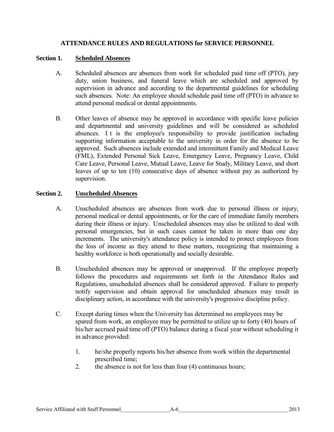# **ATTENDANCE RULES AND REGULATIONS for SERVICE PERSONNEL**

# **Section 1. Scheduled Absences**

- A. Scheduled absences are absences from work for scheduled paid time off (PTO), jury duty, union business, and funeral leave which are scheduled and approved by supervision in advance and according to the departmental guidelines for scheduling such absences. Note: An employee should schedule paid time off (PTO) in advance to attend personal medical or dental appointments.
- B. Other leaves of absence may be approved in accordance with specific leave policies and departmental and university guidelines and will be considered as scheduled absences. I t is the employee's responsibility to provide justification including supporting information acceptable to the university in order for the absence to be approved. Such absences include extended and intermittent Family and Medical Leave (FML), Extended Personal Sick Leave, Emergency Leave, Pregnancy Leave, Child Care Leave, Personal Leave, Mutual Leave, Leave for Study, Military Leave, and short leaves of up to ten (10) consecutive days of absence without pay as authorized by supervision.

# **Section 2. Unscheduled Absences**

- A. Unscheduled absences are absences from work due to personal illness or injury, personal medical or dental appointments, or for the care of immediate family members during their illness or injury. Unscheduled absences may also be utilized to deal with personal emergencies, but in such cases cannot be taken in more than one day increments. The university's attendance policy is intended to protect employees from the loss of income as they attend to these matters, recognizing that maintaining a healthy workforce is both operationally and socially desirable.
- B. Unscheduled absences may be approved or unapproved. If the employee properly follows the procedures and requirements set forth in the Attendance Rules and Regulations, unscheduled absences shall be considered approved. Failure to properly notify supervision and obtain approval for unscheduled absences may result in disciplinary action, in accordance with the university's progressive discipline policy.
- C. Except during times when the University has determined no employees may be spared from work, an employee may be permitted to utilize up to forty (40) hours of his/her accrued paid time off (PTO) balance during a fiscal year without scheduling it in advance provided:
	- 1. he/she properly reports his/her absence from work within the departmental prescribed time;
	- 2. the absence is not for less than four (4) continuous hours;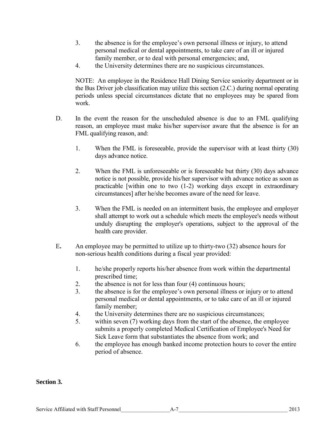- 3. the absence is for the employee's own personal illness or injury, to attend personal medical or dental appointments, to take care of an ill or injured family member, or to deal with personal emergencies; and,
- 4. the University determines there are no suspicious circumstances.

NOTE: An employee in the Residence Hall Dining Service seniority department or in the Bus Driver job classification may utilize this section (2.C.) during normal operating periods unless special circumstances dictate that no employees may be spared from work.

- D. In the event the reason for the unscheduled absence is due to an FML qualifying reason, an employee must make his/her supervisor aware that the absence is for an FML qualifying reason, and:
	- 1. When the FML is foreseeable, provide the supervisor with at least thirty (30) days advance notice.
	- 2. When the FML is unforeseeable or is foreseeable but thirty (30) days advance notice is not possible, provide his/her supervisor with advance notice as soon as practicable [within one to two (1-2) working days except in extraordinary circumstances] after he/she becomes aware of the need for leave.
	- 3. When the FML is needed on an intermittent basis, the employee and employer shall attempt to work out a schedule which meets the employee's needs without unduly disrupting the employer's operations, subject to the approval of the health care provider.
- E**.** An employee may be permitted to utilize up to thirty-two (32) absence hours for non-serious health conditions during a fiscal year provided:
	- 1. he/she properly reports his/her absence from work within the departmental prescribed time;
	- 2. the absence is not for less than four (4) continuous hours;
	- 3. the absence is for the employee's own personal illness or injury or to attend personal medical or dental appointments, or to take care of an ill or injured family member;
	- 4. the University determines there are no suspicious circumstances;
	- 5. within seven (7) working days from the start of the absence, the employee submits a properly completed Medical Certification of Employee's Need for Sick Leave form that substantiates the absence from work; and
	- 6. the employee has enough banked income protection hours to cover the entire period of absence.

# **Section 3.**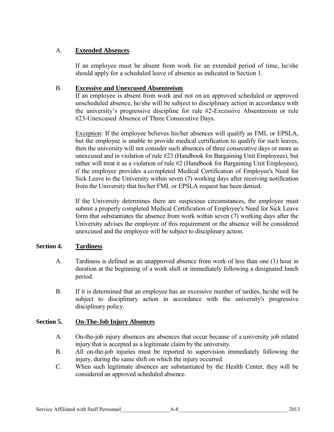# A. **Extended Absences**

 If an employee must be absent from work for an extended period of time, he/she should apply for a scheduled leave of absence as indicated in Section 1.

#### B. **Excessive and Unexcused Absenteeism**

 If an employee is absent from work and not on an approved scheduled or approved unscheduled absence, he/she will be subject to disciplinary action in accordance with the university's progressive discipline for rule #2-Excessive Absenteeism or rule #23-Unexcused Absence of Three Consecutive Days.

Exception: If the employee believes his/her absences will qualify as FML or EPSLA, but the employee is unable to provide medical certification to qualify for such leaves, then the university will not consider such absences of three consecutive days or more as unexcused and in violation of rule #23 (Handbook for Bargaining Unit Employees), but rather will treat it as a violation of rule #2 (Handbook for Bargaining Unit Employees), if the employee provides a completed Medical Certification of Employee's Need for Sick Leave to the University within seven (7) working days after receiving notification from the University that his/her FML or EPSLA request has been denied.

If the University determines there are suspicious circumstances, the employee must submit a properly completed Medical Certification of Employee's Need for Sick Leave form that substantiates the absence from work within seven (7) working days after the University advises the employee of this requirement or the absence will be considered unexcused and the employee will be subject to disciplinary action.

# **Section 4. Tardiness**

- A. Tardiness is defined as an unapproved absence from work of less than one (1) hour in duration at the beginning of a work shift or immediately following a designated lunch period.
- B. If it is determined that an employee has an excessive number of tardies, he/she will be subject to disciplinary action in accordance with the university's progressive disciplinary policy.

# **Section 5. On-The-Job Injury Absences**

- A. On-the-job injury absences are absences that occur because of a university job related injury that is accepted as a legitimate claim by the university.
- B. All on-the-job injuries must be reported to supervision immediately following the injury, during the same shift on which the injury occurred.
- C. When such legitimate absences are substantiated by the Health Center, they will be considered an approved scheduled absence.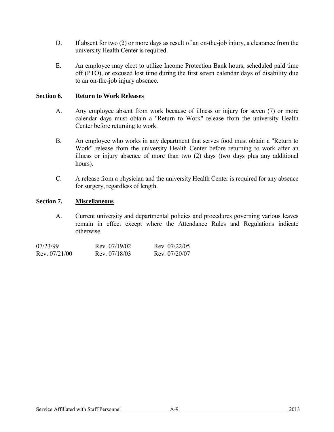- D. If absent for two (2) or more days as result of an on-the-job injury, a clearance from the university Health Center is required.
- E. An employee may elect to utilize Income Protection Bank hours, scheduled paid time off (PTO), or excused lost time during the first seven calendar days of disability due to an on-the-job injury absence.

# **Section 6. Return to Work Releases**

- A. Any employee absent from work because of illness or injury for seven (7) or more calendar days must obtain a "Return to Work" release from the university Health Center before returning to work.
- B. An employee who works in any department that serves food must obtain a "Return to Work" release from the university Health Center before returning to work after an illness or injury absence of more than two (2) days (two days plus any additional hours).
- C. A release from a physician and the university Health Center is required for any absence for surgery, regardless of length.

#### **Section 7. Miscellaneous**

A. Current university and departmental policies and procedures governing various leaves remain in effect except where the Attendance Rules and Regulations indicate otherwise.

| 07/23/99        | Rev 07/19/02 | Rev 07/22/05 |
|-----------------|--------------|--------------|
| Rev. $07/21/00$ | Rev 07/18/03 | Rev 07/20/07 |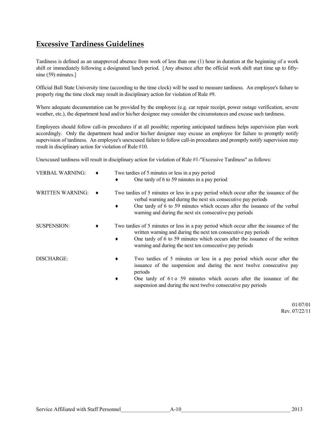# **Excessive Tardiness Guidelines**

Tardiness is defined as an unapproved absence from work of less than one (1) hour in duration at the beginning of a work shift or immediately following a designated lunch period. [Any absence after the official work shift start time up to fiftynine (59) minutes.]

Official Ball State University time (according to the time clock) will be used to measure tardiness. An employee's failure to properly ring the time clock may result in disciplinary action for violation of Rule #9.

Where adequate documentation can be provided by the employee (e.g. car repair receipt, power outage verification, severe weather, etc.), the department head and/or his/her designee may consider the circumstances and excuse such tardiness.

Employees should follow call-in procedures if at all possible; reporting anticipated tardiness helps supervision plan work accordingly. Only the department head and/or his/her designee may excuse an employee for failure to promptly notify supervision of tardiness. An employee's unexcused failure to follow call-in procedures and promptly notify supervision may result in disciplinary action for violation of Rule #10.

Unexcused tardiness will result in disciplinary action for violation of Rule #1-"Excessive Tardiness" as follows:

| <b>VERBAL WARNING:</b>  | Two tardies of 5 minutes or less in a pay period<br>One tardy of 6 to 59 minutes in a pay period<br>٠                                                                                                                                                                                                         |
|-------------------------|---------------------------------------------------------------------------------------------------------------------------------------------------------------------------------------------------------------------------------------------------------------------------------------------------------------|
| <b>WRITTEN WARNING:</b> | Two tardies of 5 minutes or less in a pay period which occur after the issuance of the<br>verbal warning and during the next six consecutive pay periods<br>One tardy of 6 to 59 minutes which occurs after the issuance of the verbal<br>warning and during the next six consecutive pay periods             |
| <b>SUSPENSION:</b>      | Two tardies of 5 minutes or less in a pay period which occur after the issuance of the<br>written warning and during the next ten consecutive pay periods<br>One tardy of 6 to 59 minutes which occurs after the issuance of the written<br>٠<br>warning and during the next ten consecutive pay periods      |
| DISCHARGE:              | Two tardies of 5 minutes or less in a pay period which occur after the<br>٠<br>issuance of the suspension and during the next twelve consecutive pay<br>periods<br>One tardy of 6 t o 59 minutes which occurs after the issuance of the<br>٠<br>suspension and during the next twelve consecutive pay periods |

01/07/01 Rev. 07/22/11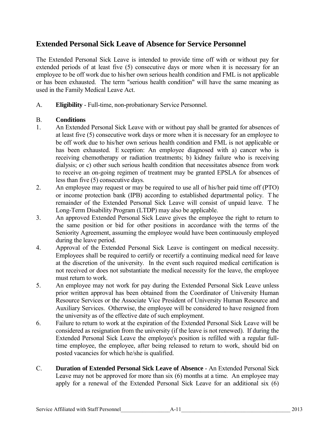# **Extended Personal Sick Leave of Absence for Service Personnel**

The Extended Personal Sick Leave is intended to provide time off with or without pay for extended periods of at least five (5) consecutive days or more when it is necessary for an employee to be off work due to his/her own serious health condition and FML is not applicable or has been exhausted. The term "serious health condition" will have the same meaning as used in the Family Medical Leave Act.

A. **Eligibility** - Full-time, non-probationary Service Personnel.

# B. **Conditions**

- 1. An Extended Personal Sick Leave with or without pay shall be granted for absences of at least five (5) consecutive work days or more when it is necessary for an employee to be off work due to his/her own serious health condition and FML is not applicable or has been exhausted. E xception: An employee diagnosed with a) cancer who is receiving chemotherapy or radiation treatments; b) kidney failure who is receiving dialysis; or c) other such serious health condition that necessitates absence from work to receive an on-going regimen of treatment may be granted EPSLA for absences of less than five (5) consecutive days.
- 2. An employee may request or may be required to use all of his/her paid time off (PTO) or income protection bank (IPB) according to established departmental policy. T he remainder of the Extended Personal Sick Leave will consist of unpaid leave. T he Long-Term Disability Program (LTDP) may also be applicable.
- 3. An approved Extended Personal Sick Leave gives the employee the right to return to the same position or bid for other positions in accordance with the terms of the Seniority Agreement, assuming the employee would have been continuously employed during the leave period.
- 4. Approval of the Extended Personal Sick Leave is contingent on medical necessity. Employees shall be required to certify or recertify a continuing medical need for leave at the discretion of the university. In the event such required medical certification is not received or does not substantiate the medical necessity for the leave, the employee must return to work.
- 5. An employee may not work for pay during the Extended Personal Sick Leave unless prior written approval has been obtained from the Coordinator of University Human Resource Services or the Associate Vice President of University Human Resource and Auxiliary Services. Otherwise, the employee will be considered to have resigned from the university as of the effective date of such employment.
- 6. Failure to return to work at the expiration of the Extended Personal Sick Leave will be considered as resignation from the university (if the leave is not renewed). If during the Extended Personal Sick Leave the employee's position is refilled with a regular fulltime employee, the employee, after being released to return to work, should bid on posted vacancies for which he/she is qualified.
- C. **Duration of Extended Personal Sick Leave of Absence** An Extended Personal Sick Leave may not be approved for more than six (6) months at a time. An employee may apply for a renewal of the Extended Personal Sick Leave for an additional six (6)